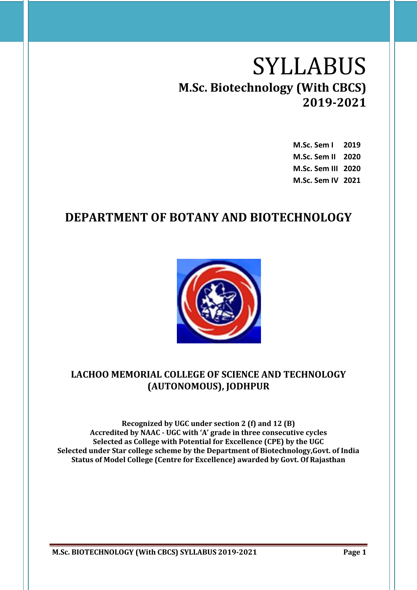# SYLLABUS **M.Sc. Biotechnology (With CBCS) 2019-2021**

| M.Sc. Sem I        | 2019 |
|--------------------|------|
| M.Sc. Sem II       | 2020 |
| M.Sc. Sem III 2020 |      |
| M.Sc. Sem IV 2021  |      |

## **DEPARTMENT OF BOTANY AND BIOTECHNOLOGY**



## **LACHOO MEMORIAL COLLEGE OF SCIENCE AND TECHNOLOGY (AUTONOMOUS), JODHPUR**

**Recognized by UGC under section 2 (f) and 12 (B) Accredited by NAAC - UGC with 'A' grade in three consecutive cycles Selected as College with Potential for Excellence (CPE) by the UGC Selected under Star college scheme by the Department of Biotechnology,Govt. of India Status of Model College (Centre for Excellence) awarded by Govt. Of Rajasthan**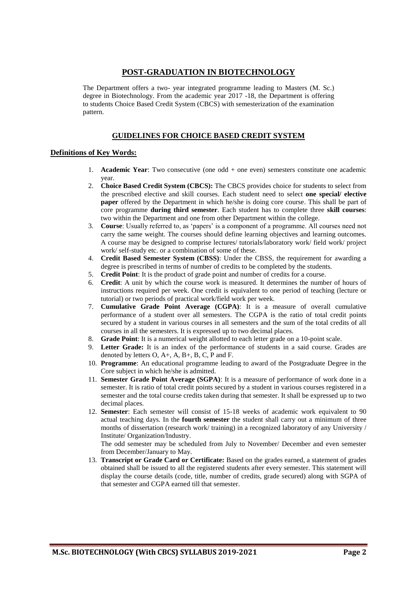### **POST-GRADUATION IN BIOTECHNOLOGY**

The Department offers a two- year integrated programme leading to Masters (M. Sc.) degree in Biotechnology. From the academic year 2017 -18, the Department is offering to students Choice Based Credit System (CBCS) with semesterization of the examination pattern.

#### **GUIDELINES FOR CHOICE BASED CREDIT SYSTEM**

#### **Definitions of Key Words:**

- 1. **Academic Year**: Two consecutive (one odd + one even) semesters constitute one academic year.
- 2. **Choice Based Credit System (CBCS):** The CBCS provides choice for students to select from the prescribed elective and skill courses. Each student need to select **one special/ elective paper** offered by the Department in which he/she is doing core course. This shall be part of core programme **during third semester**. Each student has to complete three **skill courses**: two within the Department and one from other Department within the college.
- 3. **Course**: Usually referred to, as 'papers' is a component of a programme. All courses need not carry the same weight. The courses should define learning objectives and learning outcomes. A course may be designed to comprise lectures/ tutorials/laboratory work/ field work/ project work/ self-study etc. or a combination of some of these.
- 4. **Credit Based Semester System (CBSS)**: Under the CBSS, the requirement for awarding a degree is prescribed in terms of number of credits to be completed by the students.
- 5. **Credit Point**: It is the product of grade point and number of credits for a course.
- 6. **Credit**: A unit by which the course work is measured. It determines the number of hours of instructions required per week. One credit is equivalent to one period of teaching (lecture or tutorial) or two periods of practical work/field work per week.
- 7. **Cumulative Grade Point Average (CGPA)**: It is a measure of overall cumulative performance of a student over all semesters. The CGPA is the ratio of total credit points secured by a student in various courses in all semesters and the sum of the total credits of all courses in all the semesters. It is expressed up to two decimal places.
- 8. **Grade Point**: It is a numerical weight allotted to each letter grade on a 10-point scale.
- 9. **Letter Grade:** It is an index of the performance of students in a said course. Grades are denoted by letters O, A+, A, B+, B, C, P and F.
- 10. **Programme**: An educational programme leading to award of the Postgraduate Degree in the Core subject in which he/she is admitted.
- 11. **Semester Grade Point Average (SGPA)**: It is a measure of performance of work done in a semester. It is ratio of total credit points secured by a student in various courses registered in a semester and the total course credits taken during that semester. It shall be expressed up to two decimal places.
- 12. **Semester**: Each semester will consist of 15-18 weeks of academic work equivalent to 90 actual teaching days. In the **fourth semester** the student shall carry out a minimum of three months of dissertation (research work/ training) in a recognized laboratory of any University / Institute/ Organization/Industry.

The odd semester may be scheduled from July to November/ December and even semester from December/January to May.

13. **Transcript or Grade Card or Certificate:** Based on the grades earned, a statement of grades obtained shall be issued to all the registered students after every semester. This statement will display the course details (code, title, number of credits, grade secured) along with SGPA of that semester and CGPA earned till that semester.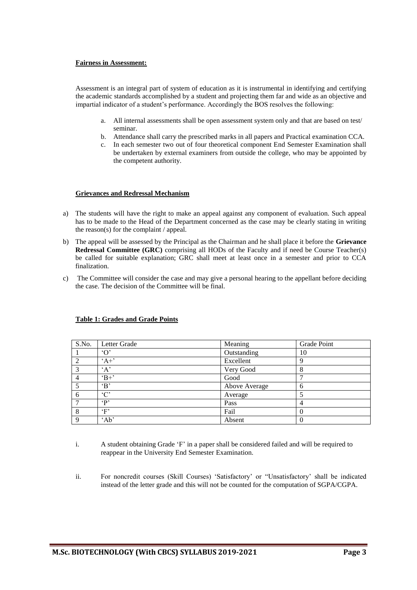#### **Fairness in Assessment:**

Assessment is an integral part of system of education as it is instrumental in identifying and certifying the academic standards accomplished by a student and projecting them far and wide as an objective and impartial indicator of a student's performance. Accordingly the BOS resolves the following:

- a. All internal assessments shall be open assessment system only and that are based on test/ seminar.
- b. Attendance shall carry the prescribed marks in all papers and Practical examination CCA.
- c. In each semester two out of four theoretical component End Semester Examination shall be undertaken by external examiners from outside the college, who may be appointed by the competent authority.

#### **Grievances and Redressal Mechanism**

- a) The students will have the right to make an appeal against any component of evaluation. Such appeal has to be made to the Head of the Department concerned as the case may be clearly stating in writing the reason(s) for the complaint / appeal.
- b) The appeal will be assessed by the Principal as the Chairman and he shall place it before the **Grievance Redressal Committee (GRC)** comprising all HODs of the Faculty and if need be Course Teacher(s) be called for suitable explanation; GRC shall meet at least once in a semester and prior to CCA finalization.
- c) The Committee will consider the case and may give a personal hearing to the appellant before deciding the case. The decision of the Committee will be final.

| S.No.       | Letter Grade        | Meaning       | Grade Point |
|-------------|---------------------|---------------|-------------|
|             | $^{\circ}$ $\Omega$ | Outstanding   | 10          |
| ◠           | $A^+$               | Excellent     | Q           |
| 3           | A                   | Very Good     | 8           |
|             | $\mathrm{H}^+$      | Good          |             |
|             | $\mathbf{B}$        | Above Average | 6           |
| 6           | $^{\circ}C^{\circ}$ | Average       |             |
|             | $\mathbf{P}$        | Pass          | 4           |
| 8           | $\cdot_F$           | Fail          |             |
| $\mathbf Q$ | 'Ab'                | Absent        |             |

#### **Table 1: Grades and Grade Points**

- i. A student obtaining Grade 'F' in a paper shall be considered failed and will be required to reappear in the University End Semester Examination.
- ii. For noncredit courses (Skill Courses) 'Satisfactory' or "Unsatisfactory' shall be indicated instead of the letter grade and this will not be counted for the computation of SGPA/CGPA.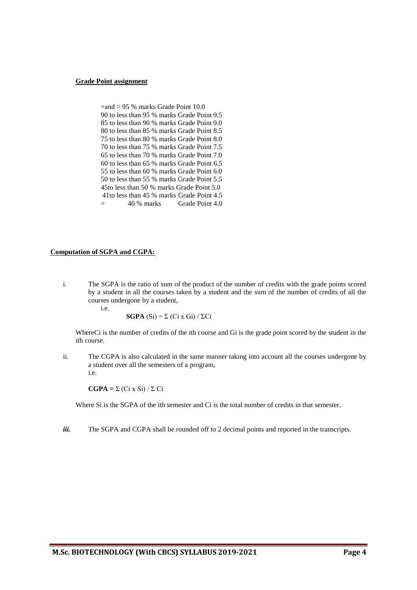#### **Grade Point assignment**

| $=$ and > 95 % marks Grade Point 10.0      |
|--------------------------------------------|
| 90 to less than 95 % marks Grade Point 9.5 |
| 85 to less than 90 % marks Grade Point 9.0 |
| 80 to less than 85 % marks Grade Point 8.5 |
| 75 to less than 80 % marks Grade Point 8.0 |
| 70 to less than 75 % marks Grade Point 7.5 |
| 65 to less than 70 % marks Grade Point 7.0 |
| 60 to less than 65 % marks Grade Point 6.5 |
| 55 to less than 60 % marks Grade Point 6.0 |
| 50 to less than 55 % marks Grade Point 5.5 |
| 45to less than 50 % marks Grade Point 5.0  |
| 41to less than 45 % marks Grade Point 4.5  |
| 40 % marks Grade Point 4.0                 |

#### **Computation of SGPA and CGPA:**

i. The SGPA is the ratio of sum of the product of the number of credits with the grade points scored by a student in all the courses taken by a student and the sum of the number of credits of all the courses undergone by a student, i.e.

**SGPA** (Si) = Σ (Ci x Gi) / ΣCi

WhereCi is the number of credits of the ith course and Gi is the grade point scored by the student in the ith course.

ii. The CGPA is also calculated in the same manner taking into account all the courses undergone by a student over all the semesters of a program, i.e.

**CGPA =** Σ (Ci x Si) / Σ Ci

Where Si is the SGPA of the ith semester and Ci is the total number of credits in that semester.

*iii.* The SGPA and CGPA shall be rounded off to 2 decimal points and reported in the transcripts.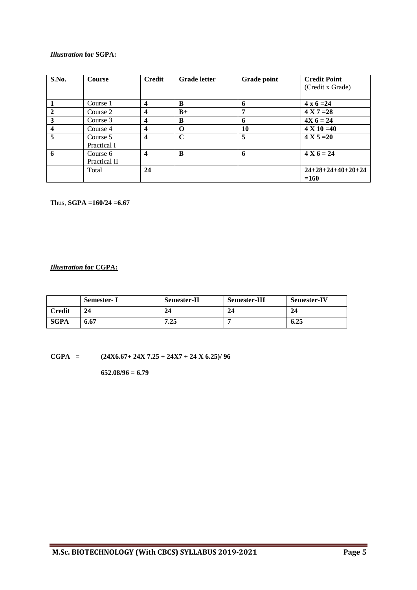#### *Illustration* **for SGPA:**

| S.No.                   | <b>Course</b> | <b>Credit</b>           | <b>Grade letter</b> | <b>Grade point</b> | <b>Credit Point</b> |
|-------------------------|---------------|-------------------------|---------------------|--------------------|---------------------|
|                         |               |                         |                     |                    | (Credit x Grade)    |
|                         | Course 1      | $\boldsymbol{4}$        | B                   | 6                  | $4 \times 6 = 24$   |
| $\mathbf{2}$            | Course 2      | $\overline{\mathbf{4}}$ | $B+$                | п,                 | $4 X 7 = 28$        |
| 3                       | Course 3      | $\overline{\mathbf{4}}$ | B                   | 6                  | $4X_6 = 24$         |
| $\overline{\mathbf{4}}$ | Course 4      | $\boldsymbol{4}$        | O                   | 10                 | $4 X 10 = 40$       |
| 5                       | Course 5      | $\overline{\mathbf{4}}$ | $\mathbf C$         | 5                  | $4 X 5 = 20$        |
|                         | Practical I   |                         |                     |                    |                     |
| 6                       | Course 6      | $\overline{\mathbf{4}}$ | B                   | 6                  | $4 X 6 = 24$        |
|                         | Practical II  |                         |                     |                    |                     |
|                         | Total         | 24                      |                     |                    | $24+28+24+40+20+24$ |
|                         |               |                         |                     |                    | $=160$              |

Thus, **SGPA =160/24 =6.67**

#### *Illustration* **for CGPA:**

|        | Semester- I | <b>Semester-II</b> | <b>Semester-III</b> | <b>Semester-IV</b> |
|--------|-------------|--------------------|---------------------|--------------------|
| Credit | 24          | 24                 | 24                  | 24                 |
| SGPA   | 6.67        | 7.25               |                     | 6.25               |

**CGPA = (24X6.67+ 24X 7.25 + 24X7 + 24 X 6.25)/ 96**

**652.08/96 = 6.79**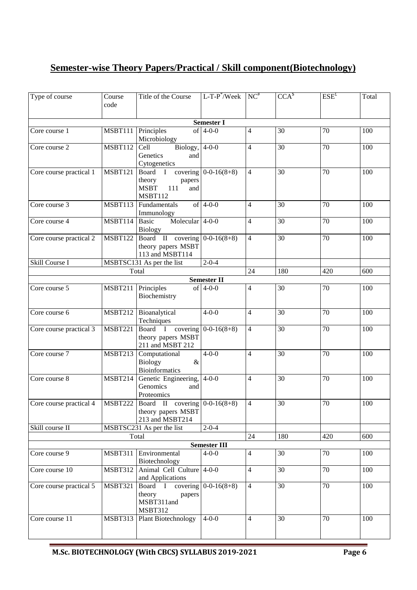## **Semester-wise Theory Papers/Practical / Skill component(Biotechnology)**

| Type of course          | Course         | Title of the Course                                                                | $L$ -T-P $^*$ /Week                | $NC^*$             | $\overline{CCA}^{\$}$ | $ESE^{f}$       | Total   |
|-------------------------|----------------|------------------------------------------------------------------------------------|------------------------------------|--------------------|-----------------------|-----------------|---------|
|                         | code           |                                                                                    |                                    |                    |                       |                 |         |
|                         |                |                                                                                    | <b>Semester I</b>                  |                    |                       |                 |         |
| Core course 1           | MSBT111        | Principles<br>Microbiology                                                         | of $4-0-0$                         | $\overline{4}$     | 30                    | 70              | 100     |
| Core course 2           | <b>MSBT112</b> | Biology, $4-0-0$<br>Cell<br>Genetics<br>and<br>Cytogenetics                        |                                    | $\overline{4}$     | $\overline{30}$       | $\overline{70}$ | 100     |
| Core course practical 1 | <b>MSBT121</b> | Board I<br>theory<br>papers<br><b>MSBT</b><br>111<br>and<br><b>MSBT112</b>         | covering $0-0-16(8+8)$             | $\overline{4}$     | 30                    | 70              | 100     |
| Core course 3           | <b>MSBT113</b> | Fundamentals<br>Immunology                                                         | of $4-0-0$                         | $\overline{4}$     | 30                    | 70              | 100     |
| Core course 4           | <b>MSBT114</b> | Molecular $4-0-0$<br>Basic<br>Biology                                              |                                    | $\overline{4}$     | 30                    | 70              | 100     |
| Core course practical 2 | <b>MSBT122</b> | Board II covering $0-0-16(8+8)$<br>theory papers MSBT<br>113 and MSBT114           |                                    | $\overline{4}$     | 30                    | 70              | 100     |
| Skill Course I          |                | MSBTSC131 As per the list                                                          | $2 - 0 - 4$                        |                    |                       |                 |         |
|                         |                | Total                                                                              | <b>Semester II</b>                 | 24                 | 180                   | 420             | 600     |
| Core course 5           | <b>MSBT211</b> | Principles<br>Biochemistry                                                         | of $4-0-0$                         | $\overline{4}$     | 30                    | 70              | 100     |
| Core course 6           | <b>MSBT212</b> | Bioanalytical<br>Techniques                                                        | $4 - 0 - 0$                        | $\overline{4}$     | 30                    | 70              | 100     |
| Core course practical 3 | <b>MSBT221</b> | Board I<br>theory papers MSBT<br>211 and MSBT 212                                  | covering $0-0-16(8+8)$             | $\overline{4}$     | 30                    | 70              | 100     |
| Core course 7           | <b>MSBT213</b> | Computational<br>$\&$<br><b>Biology</b><br><b>Bioinformatics</b>                   | $4 - 0 - 0$                        | $\overline{4}$     | 30                    | 70              | 100     |
| Core course 8           | <b>MSBT214</b> | Genetic Engineering, 4-0-0<br>Genomics<br>and<br>Proteomics                        |                                    | $\overline{4}$     | 30                    | 70              | 100     |
| Core course practical 4 |                | $MSBT222$ Board II covering 0-0-16(8+8)<br>theory papers MSBT<br>213 and MSBT214   |                                    | $\mathbf{\Lambda}$ | $\overline{30}$       | 70              | $100\,$ |
| Skill course II         |                | MSBTSC231 As per the list                                                          | $2 - 0 - 4$                        |                    |                       |                 |         |
|                         |                | Total                                                                              |                                    | 24                 | 180                   | 420             | 600     |
| Core course 9           | <b>MSBT311</b> | Environmental                                                                      | <b>Semester III</b><br>$4 - 0 - 0$ | $\overline{4}$     | 30                    | 70              | 100     |
|                         |                | Biotechnology                                                                      |                                    |                    |                       |                 |         |
| Core course 10          | <b>MSBT312</b> | Animal Cell Culture 4-0-0<br>and Applications                                      |                                    | $\overline{4}$     | 30                    | 70              | 100     |
| Core course practical 5 | <b>MSBT321</b> | Board I covering $0-0-16(8+8)$<br>theory<br>papers<br>MSBT311and<br><b>MSBT312</b> |                                    | $\overline{4}$     | 30                    | 70              | 100     |
| Core course 11          | MSBT313        | <b>Plant Biotechnology</b>                                                         | $4 - 0 - 0$                        | $\overline{4}$     | 30                    | 70              | 100     |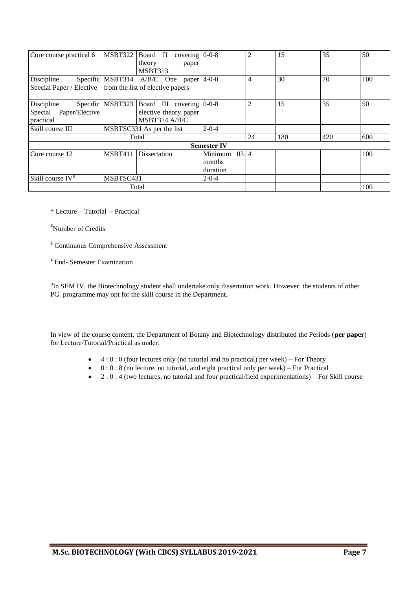| Core course practical 6                                                   | MSBT322          | Board II<br>covering $0-0-8$<br>theory<br>paper                      |                                       | $\overline{2}$ | 15  | 35  | 50  |
|---------------------------------------------------------------------------|------------------|----------------------------------------------------------------------|---------------------------------------|----------------|-----|-----|-----|
|                                                                           |                  | MSBT313                                                              |                                       |                |     |     |     |
| Discipline<br>Special Paper / Elective   from the list of elective papers |                  | Specific MSBT314 $A/B/C$ One paper 4-0-0                             |                                       | $\overline{4}$ | 30  | 70  | 100 |
| Discipline<br>Paper/Elective<br>Special<br>practical                      | Specific MSBT323 | Board III covering $0-0-8$<br>elective theory paper<br>MSBT314 A/B/C |                                       | $\overline{2}$ | 15  | 35  | 50  |
| Skill course III                                                          |                  | MSBTSC331 As per the list                                            | $2 - 0 - 4$                           |                |     |     |     |
|                                                                           |                  | Total                                                                |                                       | 24             | 180 | 420 | 600 |
|                                                                           |                  |                                                                      | <b>Semester IV</b>                    |                |     |     |     |
| Core course 12                                                            | <b>MSBT411</b>   | Dissertation                                                         | Minimum<br>03 4<br>months<br>duration |                |     |     | 100 |
| Skill course $IV^{\mu}$                                                   | MSBTSC431        |                                                                      | $2 - 0 - 4$                           |                |     |     |     |
|                                                                           |                  | Total                                                                |                                       |                |     |     | 100 |

\* Lecture – Tutorial -- Practical

#Number of Credits

\$ Continuous Comprehensive Assessment

£ End- Semester Examination

<sup>µ</sup>In SEM IV, the Biotechnology student shall undertake only dissertation work. However, the students of other PG programme may opt for the skill course in the Department.

In view of the course content, the Department of Botany and Biotechnology distributed the Periods (**per paper**) for Lecture/Tutorial/Practical as under:

- $\bullet$  4 : 0 : 0 (four lectures only (no tutorial and no practical) per week) For Theory
- $\bullet$  0 : 0 : 8 (no lecture, no tutorial, and eight practical only per week) For Practical
- $\bullet$  2 : 0 : 4 (two lectures, no tutorial and four practical/field experimentations) For Skill course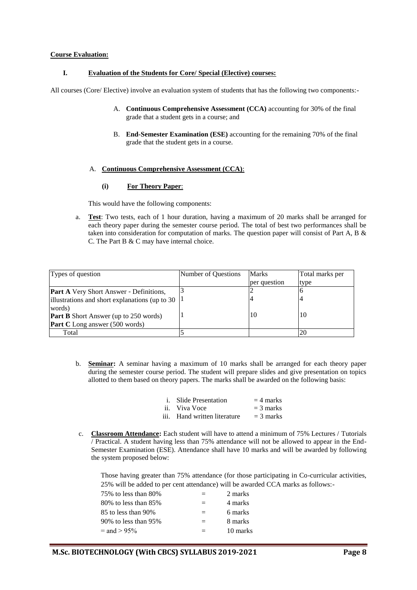#### **Course Evaluation:**

#### **I. Evaluation of the Students for Core/ Special (Elective) courses:**

All courses (Core/ Elective) involve an evaluation system of students that has the following two components:-

- A. **Continuous Comprehensive Assessment (CCA)** accounting for 30% of the final grade that a student gets in a course; and
- B. **End-Semester Examination (ESE)** accounting for the remaining 70% of the final grade that the student gets in a course.

#### A. **Continuous Comprehensive Assessment (CCA)**:

#### **(i) For Theory Paper**:

This would have the following components:

a. **Test**: Two tests, each of 1 hour duration, having a maximum of 20 marks shall be arranged for each theory paper during the semester course period. The total of best two performances shall be taken into consideration for computation of marks. The question paper will consist of Part A, B & C. The Part B & C may have internal choice.

| Types of question                               | Number of Ouestions | Marks        | Total marks per |
|-------------------------------------------------|---------------------|--------------|-----------------|
|                                                 |                     | per question | type            |
| <b>Part A</b> Very Short Answer - Definitions,  |                     |              |                 |
| illustrations and short explanations (up to 30) |                     |              |                 |
| words)                                          |                     |              |                 |
| <b>Part B</b> Short Answer (up to 250 words)    |                     | 10           | 10              |
| <b>Part C</b> Long answer (500 words)           |                     |              |                 |
| Total                                           |                     |              | 20              |

b. **Seminar:** A seminar having a maximum of 10 marks shall be arranged for each theory paper during the semester course period. The student will prepare slides and give presentation on topics allotted to them based on theory papers. The marks shall be awarded on the following basis:

| <i>i.</i> Slide Presentation | $=$ 4 marks |
|------------------------------|-------------|
| ii. Viva Voce                | $=$ 3 marks |
| iii. Hand written literature | $=$ 3 marks |

c. **Classroom Attendance:** Each student will have to attend a minimum of 75% Lectures / Tutorials / Practical. A student having less than 75% attendance will not be allowed to appear in the End-Semester Examination (ESE). Attendance shall have 10 marks and will be awarded by following the system proposed below:

Those having greater than 75% attendance (for those participating in Co-curricular activities, 25% will be added to per cent attendance) will be awarded CCA marks as follows:-

| 75% to less than 80% | ゠   | 2 marks  |
|----------------------|-----|----------|
| 80% to less than 85% | $=$ | 4 marks  |
| 85 to less than 90%  | $=$ | 6 marks  |
| 90% to less than 95% | $=$ | 8 marks  |
| $=$ and $> 95\%$     |     | 10 marks |
|                      |     |          |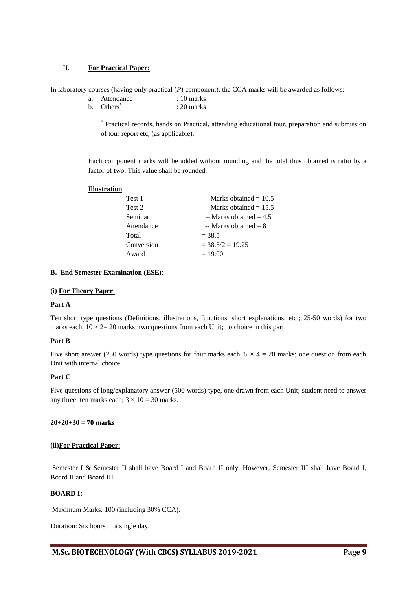#### II. **For Practical Paper:**

In laboratory courses (having only practical (*P*) component), the CCA marks will be awarded as follows:

- a. Attendance : 10 marks
- b. Others<sup>\*</sup> : 20 marks

\* Practical records, hands on Practical, attending educational tour, preparation and submission of tour report etc, (as applicable).

Each component marks will be added without rounding and the total thus obtained is ratio by a factor of two. This value shall be rounded.

### **Illustration**:

| Test 1     | $-$ Marks obtained = 10.5 |
|------------|---------------------------|
| Test 2     | $-$ Marks obtained = 15.5 |
| Seminar    | $-$ Marks obtained = 4.5  |
| Attendance | -- Marks obtained $= 8$   |
| Total      | $= 38.5$                  |
| Conversion | $=$ 38.5/2 $=$ 19.25      |
| Award      | $= 19.00$                 |
|            |                           |

#### **B. End Semester Examination (ESE)**:

#### **(i) For Theory Paper**:

#### **Part A**

Ten short type questions (Definitions, illustrations, functions, short explanations, etc.; 25-50 words) for two marks each.  $10 \times 2 = 20$  marks; two questions from each Unit; no choice in this part.

#### **Part B**

Five short answer (250 words) type questions for four marks each.  $5 \times 4 = 20$  marks; one question from each Unit with internal choice.

#### **Part C**

Five questions of long/explanatory answer (500 words) type, one drawn from each Unit; student need to answer any three; ten marks each;  $3 \times 10 = 30$  marks.

#### **20+20+30 = 70 marks**

#### **(ii)For Practical Paper:**

Semester I & Semester II shall have Board I and Board II only. However, Semester III shall have Board I, Board II and Board III.

#### **BOARD I:**

Maximum Marks: 100 (including 30% CCA).

Duration: Six hours in a single day.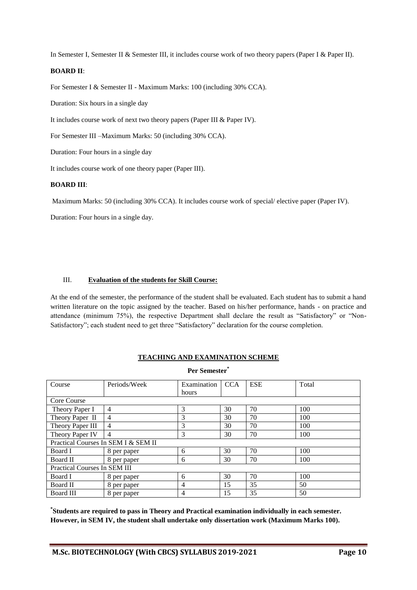In Semester I, Semester II & Semester III, it includes course work of two theory papers (Paper I & Paper II).

#### **BOARD II**:

For Semester I & Semester II - Maximum Marks: 100 (including 30% CCA).

Duration: Six hours in a single day

It includes course work of next two theory papers (Paper III & Paper IV).

For Semester III –Maximum Marks: 50 (including 30% CCA).

Duration: Four hours in a single day

It includes course work of one theory paper (Paper III).

#### **BOARD III**:

Maximum Marks: 50 (including 30% CCA). It includes course work of special/ elective paper (Paper IV).

Duration: Four hours in a single day.

#### III. **Evaluation of the students for Skill Course:**

At the end of the semester, the performance of the student shall be evaluated. Each student has to submit a hand written literature on the topic assigned by the teacher. Based on his/her performance, hands - on practice and attendance (minimum 75%), the respective Department shall declare the result as "Satisfactory" or "Non-Satisfactory"; each student need to get three "Satisfactory" declaration for the course completion.

| Per Semester*                |                                     |             |            |            |       |  |  |
|------------------------------|-------------------------------------|-------------|------------|------------|-------|--|--|
| Course                       | Periods/Week                        | Examination | <b>CCA</b> | <b>ESE</b> | Total |  |  |
|                              |                                     | hours       |            |            |       |  |  |
| Core Course                  |                                     |             |            |            |       |  |  |
| Theory Paper I               | 4                                   | 3           | 30         | 70         | 100   |  |  |
| Theory Paper II              | $\overline{4}$                      | 3           | 30         | 70         | 100   |  |  |
| Theory Paper III             | 4                                   | 3           | 30         | 70         | 100   |  |  |
| Theory Paper IV              | $\overline{4}$                      | 3           | 30         | 70         | 100   |  |  |
|                              | Practical Courses In SEM I & SEM II |             |            |            |       |  |  |
| Board I                      | 8 per paper                         | 6           | 30         | 70         | 100   |  |  |
| Board II                     | 8 per paper                         | 6           | 30         | 70         | 100   |  |  |
| Practical Courses In SEM III |                                     |             |            |            |       |  |  |
| Board I                      | 8 per paper                         | 6           | 30         | 70         | 100   |  |  |
| Board II                     | 8 per paper                         | 4           | 15         | 35         | 50    |  |  |
| Board III                    | 8 per paper                         | 4           | 15         | 35         | 50    |  |  |

**TEACHING AND EXAMINATION SCHEME**

**\* Students are required to pass in Theory and Practical examination individually in each semester. However, in SEM IV, the student shall undertake only dissertation work (Maximum Marks 100).**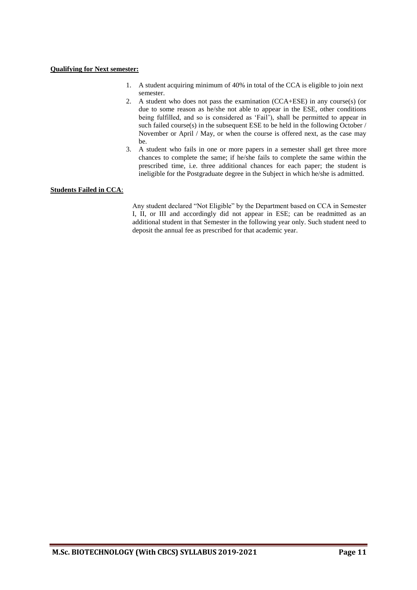#### **Qualifying for Next semester:**

- 1. A student acquiring minimum of 40% in total of the CCA is eligible to join next semester.
- 2. A student who does not pass the examination (CCA+ESE) in any course(s) (or due to some reason as he/she not able to appear in the ESE, other conditions being fulfilled, and so is considered as 'Fail'), shall be permitted to appear in such failed course(s) in the subsequent ESE to be held in the following October / November or April / May, or when the course is offered next, as the case may be.
- 3. A student who fails in one or more papers in a semester shall get three more chances to complete the same; if he/she fails to complete the same within the prescribed time, i.e. three additional chances for each paper; the student is ineligible for the Postgraduate degree in the Subject in which he/she is admitted.

#### **Students Failed in CCA**:

Any student declared "Not Eligible" by the Department based on CCA in Semester I, II, or III and accordingly did not appear in ESE; can be readmitted as an additional student in that Semester in the following year only. Such student need to deposit the annual fee as prescribed for that academic year.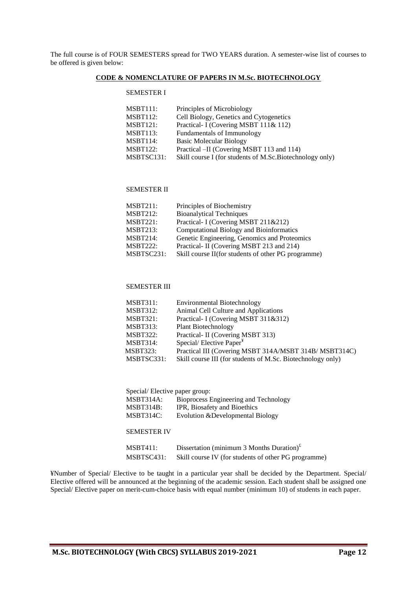The full course is of FOUR SEMESTERS spread for TWO YEARS duration. A semester-wise list of courses to be offered is given below:

#### **CODE & NOMENCLATURE OF PAPERS IN M.Sc. BIOTECHNOLOGY**

#### SEMESTER I

| MSBT111:<br>Principles of Microbiology                                 |  |
|------------------------------------------------------------------------|--|
| MSBT112:<br>Cell Biology, Genetics and Cytogenetics                    |  |
| MSBT121:<br>Practical- I (Covering MSBT 111& 112)                      |  |
| MSBT113:<br>Fundamentals of Immunology                                 |  |
| MSBT114:<br><b>Basic Molecular Biology</b>                             |  |
| MSBT122:<br>Practical –II (Covering MSBT 113 and 114)                  |  |
| MSBTSC131:<br>Skill course I (for students of M.Sc.Biotechnology only) |  |

#### SEMESTER II

| MSBT211:        | Principles of Biochemistry                          |
|-----------------|-----------------------------------------------------|
| <b>MSBT212:</b> | <b>Bioanalytical Techniques</b>                     |
| MSBT221:        | Practical- I (Covering MSBT 211&212)                |
| MSBT213:        | <b>Computational Biology and Bioinformatics</b>     |
| <b>MSBT214:</b> | Genetic Engineering, Genomics and Proteomics        |
| <b>MSBT222:</b> | Practical- II (Covering MSBT 213 and 214)           |
| MSBTSC231:      | Skill course II(for students of other PG programme) |

#### SEMESTER III

| <b>MSBT312:</b><br>Animal Cell Culture and Applications<br>Practical- I (Covering MSBT 311&312)<br><b>MSBT321:</b><br><b>MSBT313:</b><br>Plant Biotechnology<br>Practical- II (Covering MSBT 313)<br><b>MSBT322:</b><br>Special/Elective Paper <sup>¥</sup><br><b>MSBT314:</b><br><b>MSBT323:</b><br>MSBTSC331:<br>Skill course III (for students of M.Sc. Biotechnology only) | <b>MSBT311:</b> | <b>Environmental Biotechnology</b>                    |
|--------------------------------------------------------------------------------------------------------------------------------------------------------------------------------------------------------------------------------------------------------------------------------------------------------------------------------------------------------------------------------|-----------------|-------------------------------------------------------|
|                                                                                                                                                                                                                                                                                                                                                                                |                 |                                                       |
|                                                                                                                                                                                                                                                                                                                                                                                |                 |                                                       |
|                                                                                                                                                                                                                                                                                                                                                                                |                 |                                                       |
|                                                                                                                                                                                                                                                                                                                                                                                |                 |                                                       |
|                                                                                                                                                                                                                                                                                                                                                                                |                 |                                                       |
|                                                                                                                                                                                                                                                                                                                                                                                |                 | Practical III (Covering MSBT 314A/MSBT 314B/MSBT314C) |
|                                                                                                                                                                                                                                                                                                                                                                                |                 |                                                       |

| Special/Elective paper group: |                                                      |  |
|-------------------------------|------------------------------------------------------|--|
| MSBT314A:                     | Bioprocess Engineering and Technology                |  |
| MSBT314B:                     | IPR, Biosafety and Bioethics                         |  |
| MSBT314C:                     | Evolution & Developmental Biology                    |  |
|                               |                                                      |  |
| <b>SEMESTER IV</b>            |                                                      |  |
|                               |                                                      |  |
| <b>MSBT411:</b>               | Dissertation (minimum 3 Months Duration) $£$         |  |
| MSBTSC431:                    | Skill course IV (for students of other PG programme) |  |

¥Number of Special/ Elective to be taught in a particular year shall be decided by the Department. Special/ Elective offered will be announced at the beginning of the academic session. Each student shall be assigned one Special/ Elective paper on merit-cum-choice basis with equal number (minimum 10) of students in each paper.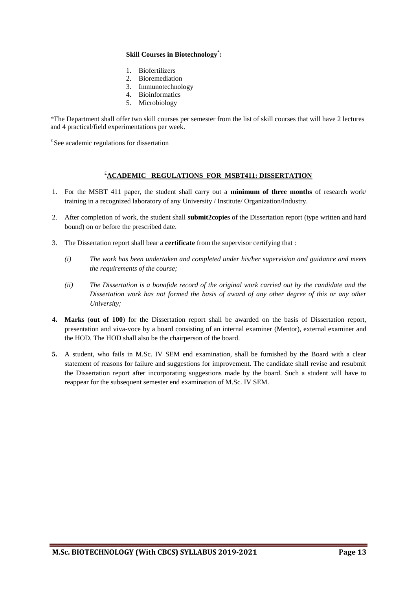#### **Skill Courses in Biotechnology\* :**

- 1. Biofertilizers
- 2. Bioremediation
- 3. Immunotechnology
- 4. Bioinformatics
- 5. Microbiology

\*The Department shall offer two skill courses per semester from the list of skill courses that will have 2 lectures and 4 practical/field experimentations per week.

 $E$  See academic regulations for dissertation

#### £**ACADEMIC REGULATIONS FOR MSBT411: DISSERTATION**

- 1. For the MSBT 411 paper, the student shall carry out a **minimum of three months** of research work/ training in a recognized laboratory of any University / Institute/ Organization/Industry.
- 2. After completion of work, the student shall **submit2copies** of the Dissertation report (type written and hard bound) on or before the prescribed date.
- 3. The Dissertation report shall bear a **certificate** from the supervisor certifying that :
	- *(i) The work has been undertaken and completed under his/her supervision and guidance and meets the requirements of the course;*
	- *(ii) The Dissertation is a bonafide record of the original work carried out by the candidate and the Dissertation work has not formed the basis of award of any other degree of this or any other University;*
- **4. Marks** (**out of 100**) for the Dissertation report shall be awarded on the basis of Dissertation report, presentation and viva-voce by a board consisting of an internal examiner (Mentor), external examiner and the HOD. The HOD shall also be the chairperson of the board.
- **5.** A student, who fails in M.Sc. IV SEM end examination, shall be furnished by the Board with a clear statement of reasons for failure and suggestions for improvement. The candidate shall revise and resubmit the Dissertation report after incorporating suggestions made by the board. Such a student will have to reappear for the subsequent semester end examination of M.Sc. IV SEM.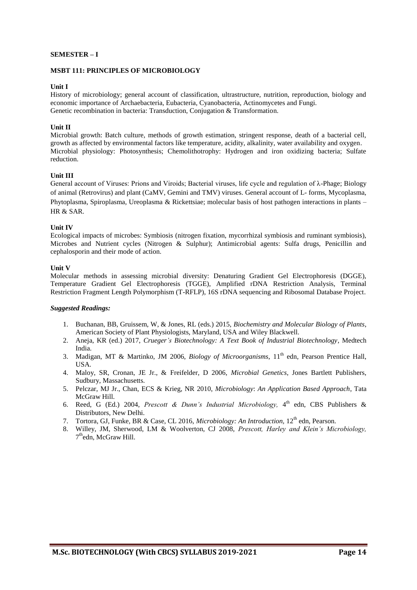#### **SEMESTER – I**

#### **MSBT 111: PRINCIPLES OF MICROBIOLOGY**

#### **Unit I**

History of microbiology; general account of classification, ultrastructure, nutrition, reproduction, biology and economic importance of Archaebacteria, Eubacteria, Cyanobacteria, Actinomycetes and Fungi. Genetic recombination in bacteria: Transduction, Conjugation & Transformation.

#### **Unit II**

Microbial growth: Batch culture, methods of growth estimation, stringent response, death of a bacterial cell, growth as affected by environmental factors like temperature, acidity, alkalinity, water availability and oxygen. Microbial physiology: Photosynthesis; Chemolithotrophy: Hydrogen and iron oxidizing bacteria; Sulfate reduction.

#### **Unit III**

General account of Viruses: Prions and Viroids; Bacterial viruses, life cycle and regulation of λ-Phage; Biology of animal (Retrovirus) and plant (CaMV, Gemini and TMV) viruses. General account of L- forms, Mycoplasma, Phytoplasma, Spiroplasma, Ureoplasma & Rickettsiae; molecular basis of host pathogen interactions in plants – HR & SAR.

#### **Unit IV**

Ecological impacts of microbes: Symbiosis (nitrogen fixation, mycorrhizal symbiosis and ruminant symbiosis), Microbes and Nutrient cycles (Nitrogen & Sulphur); Antimicrobial agents: Sulfa drugs, Penicillin and cephalosporin and their mode of action.

#### **Unit V**

Molecular methods in assessing microbial diversity: Denaturing Gradient Gel Electrophoresis (DGGE), Temperature Gradient Gel Electrophoresis (TGGE), Amplified rDNA Restriction Analysis, Terminal Restriction Fragment Length Polymorphism (T-RFLP), 16S rDNA sequencing and Ribosomal Database Project.

- 1. Buchanan, BB, Gruissem, W, & Jones, RL (eds.) 2015, *Biochemistry and Molecular Biology of Plants*, American Society of Plant Physiologists, Maryland, USA and Wiley Blackwell.
- 2. Aneja, KR (ed.) 2017, *Crueger's Biotechnology: A Text Book of Industrial Biotechnology*, Medtech India.
- 3. Madigan, MT & Martinko, JM 2006, *Biology of Microorganisms*, 11<sup>th</sup> edn, Pearson Prentice Hall, USA.
- 4. Maloy, SR, Cronan, JE Jr., & Freifelder, D 2006, *Microbial Genetics*, Jones Bartlett Publishers, Sudbury, Massachusetts.
- 5. Pelczar, MJ Jr., Chan, ECS & Krieg, NR 2010, *Microbiology*: *An Application Based Approach*, Tata McGraw Hill.
- 6. Reed, G (Ed.) 2004, *Prescott & Dunn's Industrial Microbiology*, 4<sup>th</sup> edn, CBS Publishers & Distributors, New Delhi.
- 7. Tortora, GJ, Funke, BR & Case, CL 2016, *Microbiology: An Introduction*, 12<sup>th</sup> edn, Pearson.
- 8. Willey, JM, Sherwood, LM & Woolverton, CJ 2008, *Prescott, Harley and Klein's Microbiology,* 7<sup>th</sup>edn, McGraw Hill.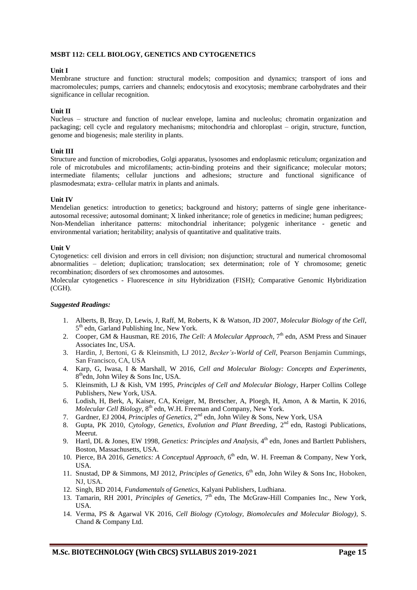#### **MSBT 112: CELL BIOLOGY, GENETICS AND CYTOGENETICS**

#### **Unit I**

Membrane structure and function: structural models; composition and dynamics; transport of ions and macromolecules; pumps, carriers and channels; endocytosis and exocytosis; membrane carbohydrates and their significance in cellular recognition.

#### **Unit II**

Nucleus – structure and function of nuclear envelope, lamina and nucleolus; chromatin organization and packaging; cell cycle and regulatory mechanisms; mitochondria and chloroplast – origin, structure, function, genome and biogenesis; male sterility in plants.

#### **Unit III**

Structure and function of microbodies, Golgi apparatus, lysosomes and endoplasmic reticulum; organization and role of microtubules and microfilaments; actin-binding proteins and their significance; molecular motors; intermediate filaments; cellular junctions and adhesions; structure and functional significance of plasmodesmata; extra- cellular matrix in plants and animals.

#### **Unit IV**

Mendelian genetics: introduction to genetics; background and history; patterns of single gene inheritanceautosomal recessive; autosomal dominant; X linked inheritance; role of genetics in medicine; human pedigrees; Non-Mendelian inheritance patterns: mitochondrial inheritance; polygenic inheritance - genetic and environmental variation; heritability; analysis of quantitative and qualitative traits.

#### **Unit V**

Cytogenetics: cell division and errors in cell division; non disjunction; structural and numerical chromosomal abnormalities – deletion; duplication; translocation; sex determination; role of Y chromosome; genetic recombination; disorders of sex chromosomes and autosomes.

Molecular cytogenetics - Fluorescence *in situ* Hybridization (FISH); Comparative Genomic Hybridization (CGH).

- 1. Alberts, B, Bray, D, Lewis, J, Raff, M, Roberts, K & Watson, JD 2007, *Molecular Biology of the Cell*, 5<sup>th</sup> edn, Garland Publishing Inc, New York.
- 2. Cooper, GM & Hausman, RE 2016, *The Cell: A Molecular Approach*, 7<sup>th</sup> edn, ASM Press and Sinauer Associates Inc, USA.
- 3. Hardin, J, Bertoni, G & Kleinsmith, LJ 2012, *Becker's-World of Cell*, Pearson Benjamin Cummings, San Francisco, CA, USA
- 4. Karp, G, Iwasa, I & Marshall, W 2016, *Cell and Molecular Biology: Concepts and Experiments,* 8<sup>th</sup>edn, John Wiley & Sons Inc, USA.
- 5. Kleinsmith, LJ & Kish, VM 1995, *Principles of Cell and Molecular Biology*, Harper Collins College Publishers, New York, USA.
- 6. Lodish, H, Berk, A, Kaiser, CA, Kreiger, M, Bretscher, A, Ploegh, H, Amon, A & Martin, K 2016, Molecular Cell Biology, 8<sup>th</sup> edn, W.H. Freeman and Company, New York.
- 7. Gardner, EJ 2004, *Principles of Genetics*, 2<sup>nd</sup> edn, John Wiley & Sons, New York, USA
- 8. Gupta, PK 2010, *Cytology, Genetics, Evolution and Plant Breeding*, 2<sup>nd</sup> edn, Rastogi Publications, Meerut.
- 9. Hartl, DL & Jones, EW 1998, *Genetics: Principles and Analysis*, 4<sup>th</sup> edn, Jones and Bartlett Publishers, Boston, Massachusetts, USA.
- 10. Pierce, BA 2016, *Genetics: A Conceptual Approach*, 6<sup>th</sup> edn, W. H. Freeman & Company, New York, USA.
- 11. Snustad, DP & Simmons, MJ 2012, *Principles of Genetics*, 6<sup>th</sup> edn, John Wiley & Sons Inc, Hoboken, NJ, USA.
- 12. Singh, BD 2014, *Fundamentals of Genetics*, Kalyani Publishers, Ludhiana.
- 13. Tamarin, RH 2001, *Principles of Genetics*, 7<sup>th</sup> edn, The McGraw-Hill Companies Inc., New York, USA.
- 14. Verma, PS & Agarwal VK 2016, *Cell Biology (Cytology, Biomolecules and Molecular Biology),* S. Chand & Company Ltd.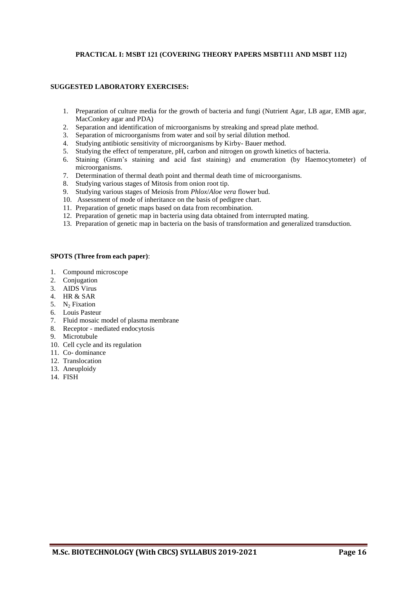#### **PRACTICAL I: MSBT 121 (COVERING THEORY PAPERS MSBT111 AND MSBT 112)**

#### **SUGGESTED LABORATORY EXERCISES:**

- 1. Preparation of culture media for the growth of bacteria and fungi (Nutrient Agar, LB agar, EMB agar, MacConkey agar and PDA)
- 2. Separation and identification of microorganisms by streaking and spread plate method.
- 3. Separation of microorganisms from water and soil by serial dilution method.
- 4. Studying antibiotic sensitivity of microorganisms by Kirby- Bauer method.
- 5. Studying the effect of temperature, pH, carbon and nitrogen on growth kinetics of bacteria.
- 6. Staining (Gram's staining and acid fast staining) and enumeration (by Haemocytometer) of microorganisms.
- 7. Determination of thermal death point and thermal death time of microorganisms.
- 8. Studying various stages of Mitosis from onion root tip.
- 9. Studying various stages of Meiosis from *Phlox*/*Aloe vera* flower bud.
- 10. Assessment of mode of inheritance on the basis of pedigree chart.
- 11. Preparation of genetic maps based on data from recombination.
- 12. Preparation of genetic map in bacteria using data obtained from interrupted mating.
- 13. Preparation of genetic map in bacteria on the basis of transformation and generalized transduction.

#### **SPOTS (Three from each paper)**:

- 1. Compound microscope
- 2. Conjugation
- 3. AIDS Virus
- 4. HR & SAR
- 5.  $N_2$  Fixation
- 6. Louis Pasteur
- 7. Fluid mosaic model of plasma membrane
- 8. Receptor mediated endocytosis
- 9. Microtubule
- 10. Cell cycle and its regulation
- 11. Co- dominance
- 12. Translocation
- 13. Aneuploidy
- 14. FISH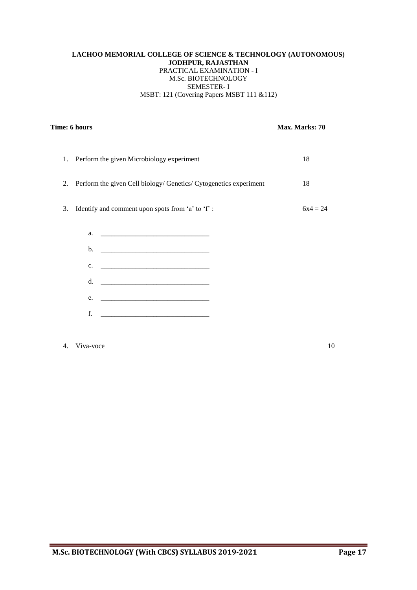#### **LACHOO MEMORIAL COLLEGE OF SCIENCE & TECHNOLOGY (AUTONOMOUS) JODHPUR, RAJASTHAN** PRACTICAL EXAMINATION - I M.Sc. BIOTECHNOLOGY SEMESTER- I MSBT: 121 (Covering Papers MSBT 111 &112)

| Time: 6 hours                                                           | Max. Marks: 70 |
|-------------------------------------------------------------------------|----------------|
|                                                                         |                |
| Perform the given Microbiology experiment<br>1.                         | 18             |
| Perform the given Cell biology/ Genetics/ Cytogenetics experiment<br>2. | 18             |
| Identify and comment upon spots from 'a' to 'f':<br>3.                  | $6x4 = 24$     |
| a.                                                                      |                |
| $\mathbf{b}$ .                                                          |                |
| c.                                                                      |                |
| d.                                                                      |                |
| e.                                                                      |                |
| f.                                                                      |                |
|                                                                         |                |

4. Viva-voce 10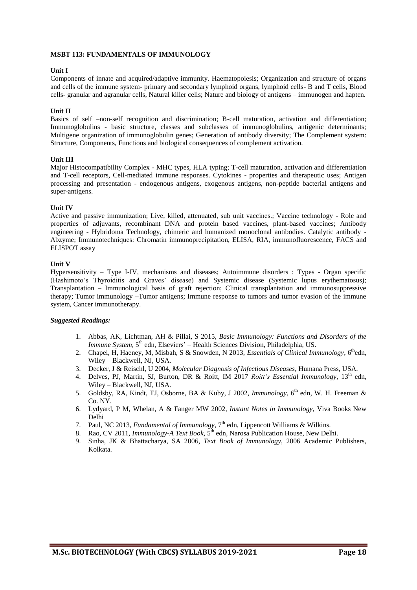#### **MSBT 113: FUNDAMENTALS OF IMMUNOLOGY**

#### **Unit I**

Components of innate and acquired/adaptive immunity. Haematopoiesis; Organization and structure of organs and cells of the immune system- primary and secondary lymphoid organs, lymphoid cells- B and T cells, Blood cells- granular and agranular cells, Natural killer cells; Nature and biology of antigens – immunogen and hapten.

#### **Unit II**

Basics of self –non-self recognition and discrimination; B-cell maturation, activation and differentiation; Immunoglobulins - basic structure, classes and subclasses of immunoglobulins, antigenic determinants; Multigene organization of immunoglobulin genes; Generation of antibody diversity; The Complement system: Structure, Components, Functions and biological consequences of complement activation.

#### **Unit III**

Major Histocompatibility Complex - MHC types, HLA typing; T-cell maturation, activation and differentiation and T-cell receptors, Cell-mediated immune responses. Cytokines - properties and therapeutic uses; Antigen processing and presentation - endogenous antigens, exogenous antigens, non-peptide bacterial antigens and super-antigens.

#### **Unit IV**

Active and passive immunization; Live, killed, attenuated, sub unit vaccines.; Vaccine technology - Role and properties of adjuvants, recombinant DNA and protein based vaccines, plant-based vaccines; Antibody engineering - Hybridoma Technology, chimeric and humanized monoclonal antibodies. Catalytic antibody - Abzyme; Immunotechniques: Chromatin immunoprecipitation, ELISA, RIA, immunofluorescence, FACS and ELISPOT assay

#### **Unit V**

Hypersensitivity – Type I-IV, mechanisms and diseases; Autoimmune disorders : Types - Organ specific (Hashimoto's Thyroiditis and Graves' disease) and Systemic disease (Systemic lupus erythematosus); Transplantation – Immunological basis of graft rejection; Clinical transplantation and immunosuppressive therapy; Tumor immunology –Tumor antigens; Immune response to tumors and tumor evasion of the immune system, Cancer immunotherapy.

- 1. Abbas, AK, Lichtman, AH & Pillai, S 2015, *[Basic Immunology: Functions and Disorders of the](http://www.amazon.co.uk/Basic-Immunology-Functions-Disorders-Immune/dp/141605569X/ref=sr_1_7?s=books&ie=UTF8&qid=1347339626&sr=1-7)  [Immune System,](http://www.amazon.co.uk/Basic-Immunology-Functions-Disorders-Immune/dp/141605569X/ref=sr_1_7?s=books&ie=UTF8&qid=1347339626&sr=1-7)* 5<sup>th</sup> edn, Elseviers' – Health Sciences Division, Philadelphia, US.
- 2. Chapel, H, Haeney, M, Misbah, S & Snowden, N 2013, *Essentials of Clinical Immunology*, 6<sup>th</sup>edn, Wiley – Blackwell, NJ, USA.
- 3. Decker, J & Reischl, U 2004, *Molecular Diagnosis of Infectious Diseases*, Humana Press, USA.
- 4. Delves, PJ, Martin, SJ, Burton, DR & Roitt, IM 2017 *Roitt's Essential Immunology*, 13th edn, Wiley – Blackwell, NJ, USA.
- 5. Goldsby, RA, Kindt, TJ, Osborne, BA & Kuby, J 2002, *Immunology*, 6<sup>th</sup> edn, W. H. Freeman & Co. NY.
- 6. Lydyard, P M, Whelan, A & Fanger MW 2002, *Instant Notes in Immunology*, Viva Books New Delhi
- 7. Paul, NC 2013, *Fundamental of Immunology*, 7<sup>th</sup> edn, Lippencott Williams & Wilkins.
- 8. Rao, CV 2011, *Immunology-A Text Book*, 5<sup>th</sup> edn, Narosa Publication House, New Delhi.
- 9. Sinha, JK & Bhattacharya, SA 2006, *Text Book of Immunology,* 2006 Academic Publishers, Kolkata.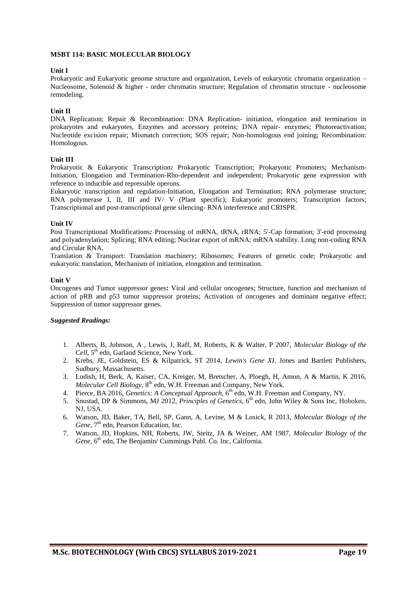#### **MSBT 114: BASIC MOLECULAR BIOLOGY**

#### **Unit I**

Prokaryotic and Eukaryotic genome structure and organization, Levels of eukaryotic chromatin organization – Nucleosome, Solenoid & higher - order chromatin structure; Regulation of chromatin structure - nucleosome remodeling.

#### **Unit II**

DNA Replication; Repair & Recombination: DNA Replication- initiation, elongation and termination in prokaryotes and eukaryotes, Enzymes and accessory proteins; DNA repair- enzymes; Photoreactivation; Nucleotide excision repair; Mismatch correction; SOS repair; Non-homologous end joining; Recombination: Homologous.

#### **Unit III**

Prokaryotic & Eukaryotic Transcription*:* Prokaryotic Transcription; Prokaryotic Promoters; Mechanism-Initiation, Elongation and Termination-Rho-dependent and independent; Prokaryotic gene expression with reference to inducible and repressible operons.

Eukaryotic transcription and regulation-Initiation, Elongation and Termination; RNA polymerase structure; RNA polymerase I, II, III and IV/ V (Plant specific); Eukaryotic promoters; Transcription factors; Transcriptional and post-transcriptional gene silencing- RNA interference and CRISPR.

#### **Unit IV**

Post Transcriptional Modifications*:* Processing of mRNA, tRNA, rRNA; 5'-Cap formation; 3'-end processing and polyadenylation; Splicing; RNA editing; Nuclear export of mRNA; mRNA stability. Long non-coding RNA and Circular RNA.

Translation & Transport: Translation machinery; Ribosomes; Features of genetic code; Prokaryotic and eukaryotic translation, Mechanism of initiation, elongation and termination.

#### **Unit V**

Oncogenes and Tumor suppressor genes**:** Viral and cellular oncogenes; Structure, function and mechanism of action of pRB and p53 tumor suppressor proteins; Activation of oncogenes and dominant negative effect; Suppression of tumor suppressor genes.

- 1. Alberts, B, Johnson, A , Lewis, J, Raff, M, Roberts, K & Walter, P 2007, *Molecular Biology of the*  Cell, 5<sup>th</sup> edn, Garland Science, New York.
- 2. Krebs, JE, Goldstein, ES & Kilpatrick, ST 2014, *Lewin's Gene XI*, Jones and Bartlett Publishers, Sudbury, Massachusetts.
- 3. Lodish, H, Berk, A, Kaiser, CA, Kreiger, M, Bretscher, A, Ploegh, H, Amon, A & Martin, K 2016, Molecular Cell Biology, 8<sup>th</sup> edn, W.H. Freeman and Company, New York.
- 4. Pierce, BA 2016, *Genetics: A Conceptual Approach*, 6<sup>th</sup> edn, W.H. Freeman and Company, NY.
- 5. Snustad, DP & Simmons, MJ 2012, *Principles of Genetics*, 6<sup>th</sup> edn, John Wiley & Sons Inc, Hoboken, NJ, USA.
- 6. Watson, JD, Baker, TA, Bell, SP, Gann, A, Levine, M & Losick, R 2013, *Molecular Biology of the*  Gene, 7<sup>th</sup> edn, Pearson Education, Inc.
- 7. Watson, JD, Hopkins, NH, Roberts, JW, Steitz, JA & Weiner, AM 1987, *Molecular Biology of the*  Gene, 6<sup>th</sup> edn, The Benjamin/ Cummings Publ. Co. Inc, California.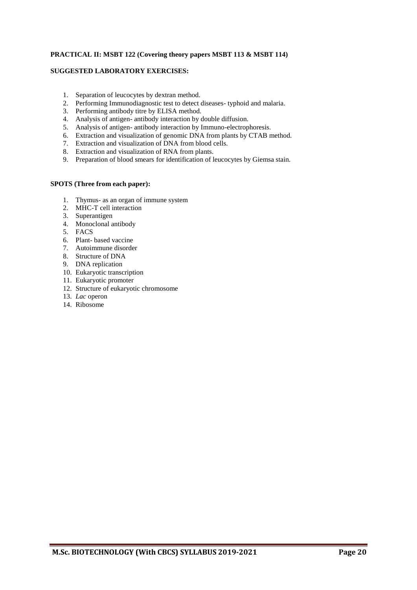#### **PRACTICAL II: MSBT 122 (Covering theory papers MSBT 113 & MSBT 114)**

#### **SUGGESTED LABORATORY EXERCISES:**

- 1. Separation of leucocytes by dextran method.
- 2. Performing Immunodiagnostic test to detect diseases- typhoid and malaria.
- 3. Performing antibody titre by ELISA method.
- 4. Analysis of antigen- antibody interaction by double diffusion.
- 5. Analysis of antigen- antibody interaction by Immuno-electrophoresis.
- 6. Extraction and visualization of genomic DNA from plants by CTAB method.
- 7. Extraction and visualization of DNA from blood cells.
- 8. Extraction and visualization of RNA from plants.
- 9. Preparation of blood smears for identification of leucocytes by Giemsa stain.

#### **SPOTS (Three from each paper):**

- 1. Thymus- as an organ of immune system
- 2. MHC-T cell interaction
- 3. Superantigen
- 4. Monoclonal antibody
- 5. FACS
- 6. Plant- based vaccine
- 7. Autoimmune disorder
- 8. Structure of DNA
- 9. DNA replication
- 10. Eukaryotic transcription
- 11. Eukaryotic promoter
- 12. Structure of eukaryotic chromosome
- 13. *Lac* operon
- 14. Ribosome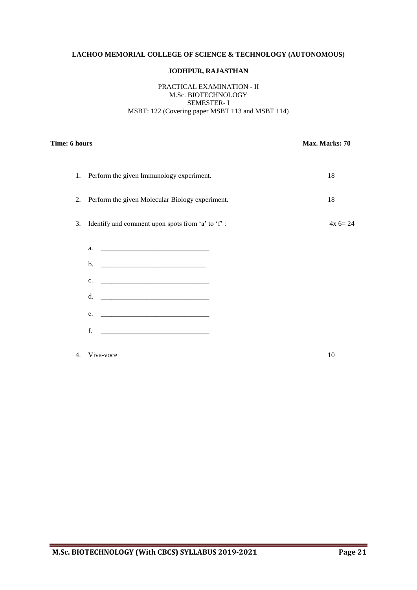#### **LACHOO MEMORIAL COLLEGE OF SCIENCE & TECHNOLOGY (AUTONOMOUS)**

#### **JODHPUR, RAJASTHAN**

#### PRACTICAL EXAMINATION - II M.Sc. BIOTECHNOLOGY SEMESTER- I MSBT: 122 (Covering paper MSBT 113 and MSBT 114)

#### **Time: 6 hours** Max. Marks: 70

|    | 1. Perform the given Immunology experiment.         | 18        |
|----|-----------------------------------------------------|-----------|
|    | 2. Perform the given Molecular Biology experiment.  | 18        |
|    | 3. Identify and comment upon spots from 'a' to 'f': | $4x 6=24$ |
|    | a. <u>______________________________</u>            |           |
|    | b.                                                  |           |
|    | c.                                                  |           |
|    | d.                                                  |           |
|    | e.                                                  |           |
|    | f.                                                  |           |
| 4. | Viva-voce                                           | 10        |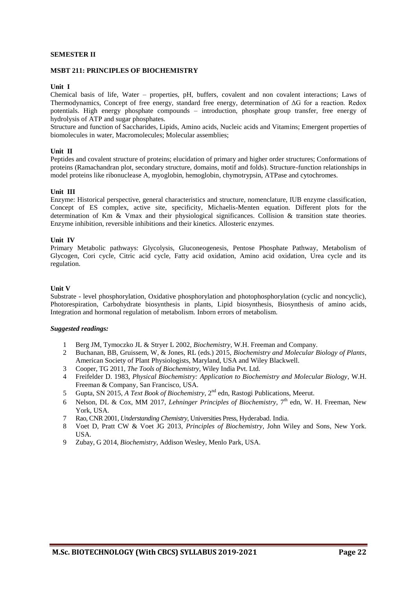#### **SEMESTER II**

#### **MSBT 211: PRINCIPLES OF BIOCHEMISTRY**

#### **Unit I**

Chemical basis of life, Water – properties, pH, buffers, covalent and non covalent interactions; Laws of Thermodynamics, Concept of free energy, standard free energy, determination of ΔG for a reaction. Redox potentials. High energy phosphate compounds – introduction, phosphate group transfer, free energy of hydrolysis of ATP and sugar phosphates.

Structure and function of Saccharides, Lipids, Amino acids, Nucleic acids and Vitamins; Emergent properties of biomolecules in water, Macromolecules; Molecular assemblies;

#### **Unit II**

Peptides and covalent structure of proteins; elucidation of primary and higher order structures; Conformations of proteins (Ramachandran plot, secondary structure, domains, motif and folds). Structure-function relationships in model proteins like ribonuclease A, myoglobin, hemoglobin, chymotrypsin, ATPase and cytochromes.

#### **Unit III**

Enzyme: Historical perspective, general characteristics and structure, nomenclature, IUB enzyme classification, Concept of ES complex, active site, specificity, Michaelis-Menten equation. Different plots for the determination of Km & Vmax and their physiological significances. Collision & transition state theories. Enzyme inhibition, reversible inhibitions and their kinetics. Allosteric enzymes.

#### **Unit IV**

Primary Metabolic pathways: Glycolysis, Gluconeogenesis, Pentose Phosphate Pathway, Metabolism of Glycogen, Cori cycle, Citric acid cycle, Fatty acid oxidation, Amino acid oxidation, Urea cycle and its regulation.

#### **Unit V**

Substrate - level phosphorylation, Oxidative phosphorylation and photophosphorylation (cyclic and noncyclic), Photorespiration, Carbohydrate biosynthesis in plants, Lipid biosynthesis, Biosynthesis of amino acids, Integration and hormonal regulation of metabolism. Inborn errors of metabolism.

- 1 Berg JM, Tymoczko JL & Stryer L 2002, *Biochemistry*, W.H. Freeman and Company.
- 2 Buchanan, BB, Gruissem, W, & Jones, RL (eds.) 2015, *Biochemistry and Molecular Biology of Plants*, American Society of Plant Physiologists, Maryland, USA and Wiley Blackwell.
- 3 Cooper, TG 2011, *The Tools of Biochemistry*, Wiley India Pvt. Ltd.
- 4 Freifelder D. 1983, *Physical Biochemistry: Application to Biochemistry and Molecular Biology*, W.H. Freeman & Company, San Francisco, USA.
- 5 Gupta, SN 2015, *A Text Book of Biochemistry*, 2<sup>nd</sup> edn, Rastogi Publications, Meerut.
- 6 Nelson, DL & Cox, MM 2017, *Lehninger Principles of Biochemistry,* 7 th edn, W. H. Freeman, New York, USA.
- 7 Rao, CNR 2001, *Understanding Chemistry*, Universities Press, Hyderabad. India.
- 8 [Voet](http://as.wiley.com/WileyCDA/Section/id-302477.html?query=Donald+Voet) D, [Pratt](http://as.wiley.com/WileyCDA/Section/id-302477.html?query=Charlotte+W.+Pratt) CW & [Voet](http://as.wiley.com/WileyCDA/Section/id-302477.html?query=Judith+G.+Voet) JG 2013, *Principles of Biochemistry*, John Wiley and Sons, New York. USA.
- 9 Zubay, G 2014, *Biochemistry*, Addison Wesley, Menlo Park, USA.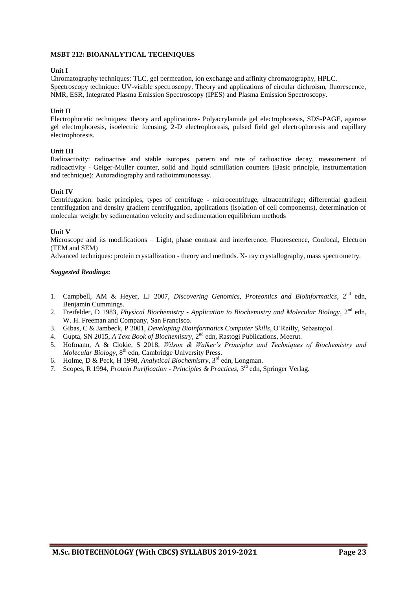#### **MSBT 212: BIOANALYTICAL TECHNIQUES**

#### **Unit I**

Chromatography techniques: TLC, gel permeation, ion exchange and affinity chromatography, HPLC. Spectroscopy technique: UV-visible spectroscopy. Theory and applications of circular dichroism, fluorescence, NMR, ESR, Integrated Plasma Emission Spectroscopy (IPES) and Plasma Emission Spectroscopy.

#### **Unit II**

Electrophoretic techniques: theory and applications- Polyacrylamide gel electrophoresis, SDS-PAGE, agarose gel electrophoresis, isoelectric focusing, 2-D electrophoresis, pulsed field gel electrophoresis and capillary electrophoresis.

#### **Unit III**

Radioactivity: radioactive and stable isotopes, pattern and rate of radioactive decay, measurement of radioactivity - Geiger-Muller counter, solid and liquid scintillation counters (Basic principle, instrumentation and technique); Autoradiography and radioimmunoassay.

#### **Unit IV**

Centrifugation: basic principles, types of centrifuge - microcentrifuge, ultracentrifuge; differential gradient centrifugation and density gradient centrifugation, applications (isolation of cell components), determination of molecular weight by sedimentation velocity and sedimentation equilibrium methods

#### **Unit V**

Microscope and its modifications – Light, phase contrast and interference, Fluorescence, Confocal, Electron (TEM and SEM)

Advanced techniques: protein crystallization - theory and methods. X- ray crystallography, mass spectrometry.

- 1. Campbell, AM & Heyer, LJ 2007, *Discovering Genomics, Proteomics and Bioinformatics*, 2<sup>nd</sup> edn, Benjamin Cummings.
- 2. Freifelder, D 1983, *Physical Biochemistry - Application to Biochemistry and Molecular Biology*, 2nd edn, W. H. Freeman and Company, San Francisco.
- 3. Gibas, C & Jambeck, P 2001, *Developing Bioinformatics Computer Skills*, O'Reilly, Sebastopol.
- 4. Gupta, SN 2015, *A Text Book of Biochemistry*, 2nd edn, Rastogi Publications, Meerut.
- 5. Hofmann, A & Clokie, S 2018, *Wilson & Walker's Principles and Techniques of Biochemistry and*  Molecular Biology, 8<sup>th</sup> edn, Cambridge University Press.
- 6. Holme, D & Peck, H 1998, *Analytical Biochemistry*, 3rd edn, Longman.
- 7. Scopes, R 1994, *Protein Purification - Principles & Practices*, 3rd edn, Springer Verlag.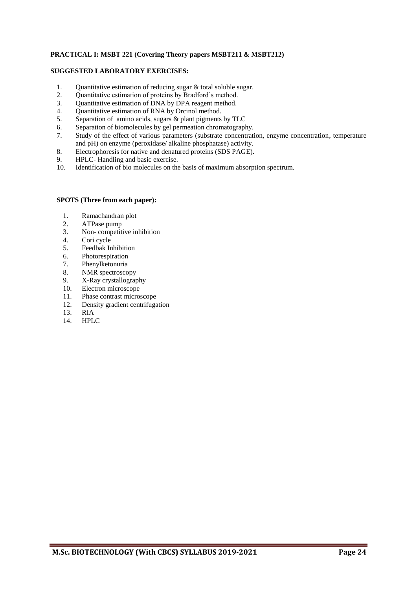#### **PRACTICAL I: MSBT 221 (Covering Theory papers MSBT211 & MSBT212)**

#### **SUGGESTED LABORATORY EXERCISES:**

- 1. Quantitative estimation of reducing sugar & total soluble sugar.
- 2. Quantitative estimation of proteins by Bradford's method.<br>3. Ouantitative estimation of DNA by DPA reagent method.
- 3. Quantitative estimation of DNA by DPA reagent method.<br>4. Ouantitative estimation of RNA by Orcinol method.
- Quantitative estimation of RNA by Orcinol method.
- 5. Separation of amino acids, sugars & plant pigments by TLC
- 6. Separation of biomolecules by gel permeation chromatography.
- 7. Study of the effect of various parameters (substrate concentration, enzyme concentration, temperature and pH) on enzyme (peroxidase/ alkaline phosphatase) activity.
- 8. Electrophoresis for native and denatured proteins (SDS PAGE).
- 9. HPLC- Handling and basic exercise.
- 10. Identification of bio molecules on the basis of maximum absorption spectrum.

#### **SPOTS (Three from each paper):**

- 1. Ramachandran plot
- 2. ATPase pump
- 3. Non- competitive inhibition
- 4. Cori cycle
- 5. Feedbak Inhibition
- 6. Photorespiration
- 7. Phenylketonuria<br>8. NMR spectrosco
- NMR spectroscopy
- 9. X-Ray crystallography
- 10. Electron microscope
- 11. Phase contrast microscope
- 12. Density gradient centrifugation
- 13. RIA
- 14. HPLC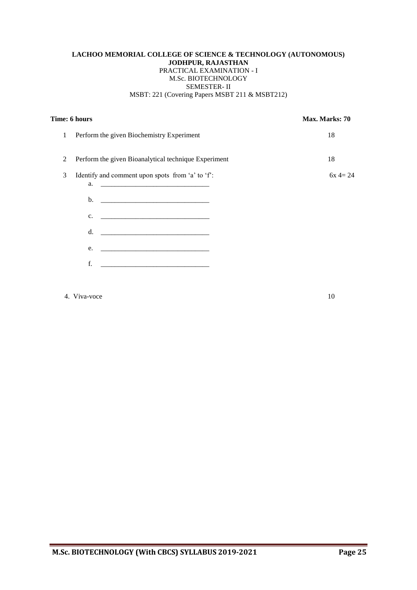#### **LACHOO MEMORIAL COLLEGE OF SCIENCE & TECHNOLOGY (AUTONOMOUS) JODHPUR, RAJASTHAN** PRACTICAL EXAMINATION - I M.Sc. BIOTECHNOLOGY SEMESTER- II MSBT: 221 (Covering Papers MSBT 211 & MSBT212)

|   | Time: 6 hours                                                          | Max. Marks: 70 |
|---|------------------------------------------------------------------------|----------------|
| 1 | Perform the given Biochemistry Experiment                              | 18             |
| 2 | Perform the given Bioanalytical technique Experiment                   | 18             |
| 3 | Identify and comment upon spots from 'a' to 'f':<br>a.                 | $6x = 24$      |
|   |                                                                        |                |
|   | <u> 1999 - Jan James James Barnett, fransk politik (d. 1989)</u><br>c. |                |
|   | d.                                                                     |                |
|   | e.                                                                     |                |
|   | f.                                                                     |                |
|   |                                                                        |                |

### 4. Viva-voce 10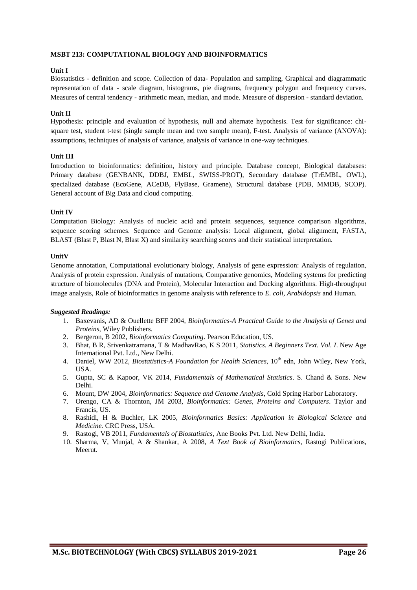#### **MSBT 213: COMPUTATIONAL BIOLOGY AND BIOINFORMATICS**

#### **Unit I**

Biostatistics - definition and scope. Collection of data- Population and sampling, Graphical and diagrammatic representation of data - scale diagram, histograms, pie diagrams, frequency polygon and frequency curves. Measures of central tendency - arithmetic mean, median, and mode. Measure of dispersion - standard deviation.

#### **Unit II**

Hypothesis: principle and evaluation of hypothesis, null and alternate hypothesis. Test for significance: chisquare test, student t-test (single sample mean and two sample mean), F-test. Analysis of variance (ANOVA): assumptions, techniques of analysis of variance, analysis of variance in one-way techniques.

#### **Unit III**

Introduction to bioinformatics: definition, history and principle. Database concept, Biological databases: Primary database (GENBANK, DDBJ, EMBL, SWISS-PROT), Secondary database (TrEMBL, OWL), specialized database (EcoGene, ACeDB, FlyBase, Gramene), Structural database (PDB, MMDB, SCOP). General account of Big Data and cloud computing.

#### **Unit IV**

Computation Biology: Analysis of nucleic acid and protein sequences, sequence comparison algorithms, sequence scoring schemes. Sequence and Genome analysis: Local alignment, global alignment, FASTA, BLAST (Blast P, Blast N, Blast X) and similarity searching scores and their statistical interpretation.

#### **UnitV**

Genome annotation, Computational evolutionary biology, Analysis of gene expression: Analysis of regulation, Analysis of protein expression. Analysis of mutations, Comparative genomics, Modeling systems for predicting structure of biomolecules (DNA and Protein), Molecular Interaction and Docking algorithms. High-throughput image analysis, Role of bioinformatics in genome analysis with reference to *E. coli*, *Arabidopsis* and Human.

- 1. Baxevanis, AD & Ouellette BFF 2004, *Bioinformatics-A Practical Guide to the Analysis of Genes and Proteins*, Wiley Publishers.
- 2. Bergeron, B 2002, *Bioinformatics Computing*. Pearson Education, US.
- 3. Bhat, B R, Srivenkatramana, T & MadhavRao, K S 2011, *Statistics. A Beginners Text. Vol. I*. New Age International Pvt. Ltd., New Delhi.
- 4. Daniel, WW 2012, *Biostatistics-A Foundation for Health Sciences*, 10<sup>th</sup> edn, John Wiley, New York, USA.
- 5. Gupta, SC & Kapoor, VK 2014, *Fundamentals of Mathematical Statistics*. S. Chand & Sons. New Delhi.
- 6. Mount, DW 2004, *Bioinformatics: Sequence and Genome Analysis*, Cold Spring Harbor Laboratory.
- 7. Orengo, CA & Thornton, JM 2003, *Bioinformatics: Genes, Proteins and Computers*. Taylor and Francis, US.
- 8. Rashidi, H & Buchler, LK 2005, *Bioinformatics Basics: Application in Biological Science and Medicine.* CRC Press, USA.
- 9. Rastogi, VB 2011, *Fundamentals of Biostatistics*, Ane Books Pvt. Ltd. New Delhi, India.
- 10. Sharma, V, Munjal, A & Shankar, A 2008, *A Text Book of Bioinformatics*, Rastogi Publications, Meerut.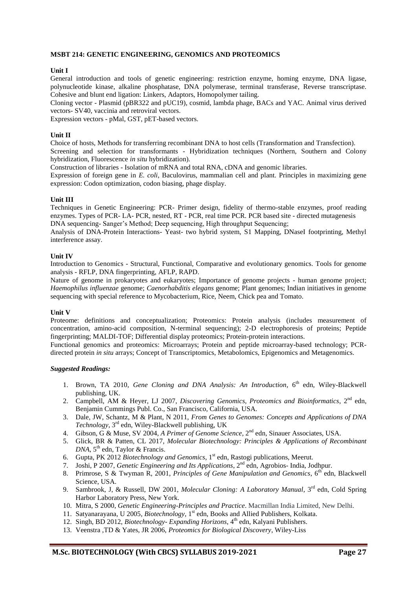#### **MSBT 214: GENETIC ENGINEERING, GENOMICS AND PROTEOMICS**

#### **Unit I**

General introduction and tools of genetic engineering: restriction enzyme, homing enzyme, DNA ligase, polynucleotide kinase, alkaline phosphatase, DNA polymerase, terminal transferase, Reverse transcriptase. Cohesive and blunt end ligation: Linkers, Adaptors, Homopolymer tailing.

Cloning vector - Plasmid (pBR322 and pUC19), cosmid, lambda phage, BACs and YAC. Animal virus derived vectors- SV40, vaccinia and retroviral vectors.

Expression vectors - pMal, GST, pET-based vectors.

#### **Unit II**

Choice of hosts, Methods for transferring recombinant DNA to host cells (Transformation and Transfection). Screening and selection for transformants - Hybridization techniques (Northern, Southern and Colony hybridization, Fluorescence *in situ* hybridization).

Construction of libraries - Isolation of mRNA and total RNA, cDNA and genomic libraries.

Expression of foreign gene in *E. coli*, Baculovirus, mammalian cell and plant. Principles in maximizing gene expression: Codon optimization, codon biasing, phage display.

#### **Unit III**

Techniques in Genetic Engineering: PCR- Primer design, fidelity of thermo-stable enzymes, proof reading enzymes. Types of PCR- LA- PCR, nested, RT - PCR, real time PCR. PCR based site - directed mutagenesis DNA sequencing- Sanger's Method; Deep sequencing, High throughput Sequencing;

Analysis of DNA-Protein Interactions- Yeast- two hybrid system, S1 Mapping, DNaseI footprinting, Methyl interference assay.

#### **Unit IV**

Introduction to Genomics - Structural, Functional, Comparative and evolutionary genomics. Tools for genome analysis - RFLP, DNA fingerprinting, AFLP, RAPD.

Nature of genome in prokaryotes and eukaryotes; Importance of genome projects - human genome project; *Haemophilus influenzae* genome; *Caenorhabditis elegans* genome; Plant genomes; Indian initiatives in genome sequencing with special reference to Mycobacterium, Rice, Neem, Chick pea and Tomato.

#### **Unit V**

Proteome: definitions and conceptualization; Proteomics: Protein analysis (includes measurement of concentration, amino-acid composition, N-terminal sequencing); 2-D electrophoresis of proteins; Peptide fingerprinting; MALDI-TOF; Differential display proteomics; Protein-protein interactions.

Functional genomics and proteomics: Microarrays; Protein and peptide microarray-based technology; PCRdirected protein *in situ* arrays; Concept of Transcriptomics, Metabolomics, Epigenomics and Metagenomics.

- 1. Brown, TA 2010, *Gene Cloning and DNA Analysis: An Introduction*, 6<sup>th</sup> edn, Wiley-Blackwell publishing, UK.
- 2. Campbell, AM & Heyer, LJ 2007, Discovering Genomics, Proteomics and Bioinformatics, 2<sup>nd</sup> edn, Benjamin Cummings Publ. Co., San Francisco, California, USA.
- 3. Dale, JW, Schantz, M & Plant, N 2011, *From Genes to Genomes: Concepts and Applications of DNA Technology*, 3rd edn, Wiley-Blackwell publishing, UK
- 4. Gibson, G & Muse, SV 2004, A Primer of Genome Science, 2<sup>nd</sup> edn, Sinauer Associates, USA.
- 5. Glick, BR & Patten, CL 2017, *Molecular Biotechnology: Principles & Applications of Recombinant*  DNA, 5<sup>th</sup> edn, Taylor & Francis.
- 6. Gupta, PK 2012 *Biotechnology and Genomics*, 1 st edn, Rastogi publications, Meerut.
- 7. Joshi, P 2007, *Genetic Engineering and Its Applications*, 2<sup>nd</sup> edn, Agrobios- India, Jodhpur.
- 8. Primrose, S & Twyman R, 2001, *Principles of Gene Manipulation and Genomics*, 6<sup>th</sup> edn, Blackwell Science, USA.
- 9. Sambrook, J, & Russell, DW 2001, *Molecular Cloning: A Laboratory Manual*, 3rd edn, Cold Spring Harbor Laboratory Press, New York.
- 10. Mitra, S 2000, *Genetic Engineering-Principles and Practice*. Macmillan India Limited, New Delhi.
- 11. Satyanarayana, U 2005, Biotechnology, 1<sup>st</sup> edn, Books and Allied Publishers, Kolkata.
- 12. Singh, BD 2012, *Biotechnology- Expanding Horizons*, 4<sup>th</sup> edn, Kalyani Publishers.
- 13. Veenstra ,TD & Yates, JR 2006, *Proteomics for Biological Discovery*, Wiley-Liss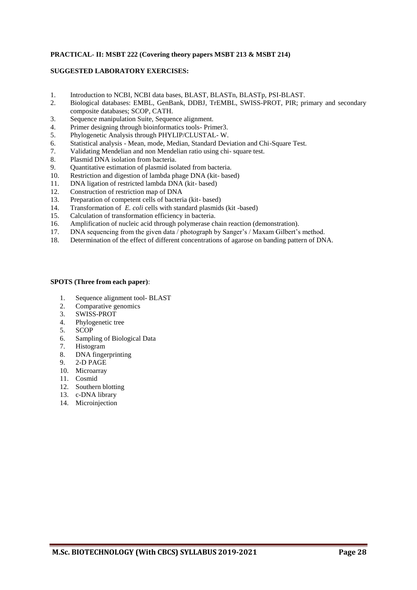#### **PRACTICAL- II: MSBT 222 (Covering theory papers MSBT 213 & MSBT 214)**

#### **SUGGESTED LABORATORY EXERCISES:**

- 1. Introduction to NCBI, NCBI data bases, BLAST, BLASTn, BLASTp, PSI-BLAST.
- 2. Biological databases: EMBL, GenBank, DDBJ, TrEMBL, SWISS-PROT, PIR; primary and secondary composite databases; SCOP, CATH.
- 3. Sequence manipulation Suite, Sequence alignment.
- 4. Primer designing through bioinformatics tools- Primer3.
- 5. Phylogenetic Analysis through PHYLIP/CLUSTAL- W.
- 6. Statistical analysis Mean, mode, Median, Standard Deviation and Chi-Square Test.
- 7. Validating Mendelian and non Mendelian ratio using chi- square test.
- 8. Plasmid DNA isolation from bacteria.
- 9. Quantitative estimation of plasmid isolated from bacteria.
- 10. Restriction and digestion of lambda phage DNA (kit- based)
- 11. DNA ligation of restricted lambda DNA (kit- based)
- 12. Construction of restriction map of DNA
- 13. Preparation of competent cells of bacteria (kit- based)
- 14. Transformation of *E. coli* cells with standard plasmids (kit -based)
- 15. Calculation of transformation efficiency in bacteria.
- 16. Amplification of nucleic acid through polymerase chain reaction (demonstration).
- 17. DNA sequencing from the given data / photograph by Sanger's / Maxam Gilbert's method.
- 18. Determination of the effect of different concentrations of agarose on banding pattern of DNA.

#### **SPOTS (Three from each paper)**:

- 1. Sequence alignment tool- BLAST
- 2. Comparative genomics
- 3. SWISS-PROT
- 4. Phylogenetic tree
- 5. SCOP
- 6. Sampling of Biological Data
- 7. Histogram
- 8. DNA fingerprinting
- 9. 2-D PAGE
- 10. Microarray
- 11. Cosmid
- 12. Southern blotting
- 13. c-DNA library
- 14. Microinjection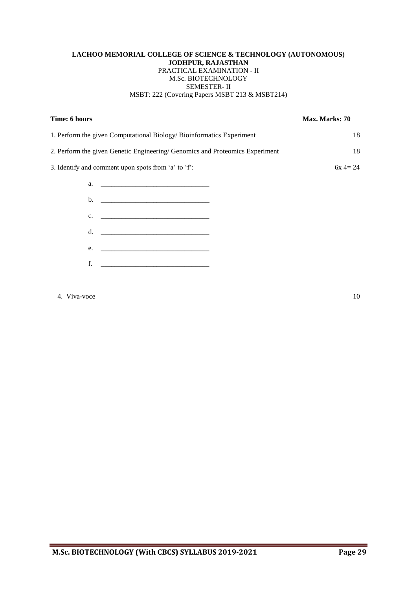#### **LACHOO MEMORIAL COLLEGE OF SCIENCE & TECHNOLOGY (AUTONOMOUS) JODHPUR, RAJASTHAN** PRACTICAL EXAMINATION - II M.Sc. BIOTECHNOLOGY SEMESTER- II MSBT: 222 (Covering Papers MSBT 213 & MSBT214)

| Time: 6 hours                                                                | Max. Marks: 70 |
|------------------------------------------------------------------------------|----------------|
| 1. Perform the given Computational Biology/Bioinformatics Experiment         | 18             |
| 2. Perform the given Genetic Engineering/ Genomics and Proteomics Experiment | 18             |
| 3. Identify and comment upon spots from 'a' to 'f':                          | $6x = 24$      |
| a. <u>______________________________</u>                                     |                |
|                                                                              |                |
| c.                                                                           |                |
| d. <u>___________________________________</u>                                |                |
| e.                                                                           |                |
| f.                                                                           |                |
|                                                                              |                |

### 4. Viva-voce 10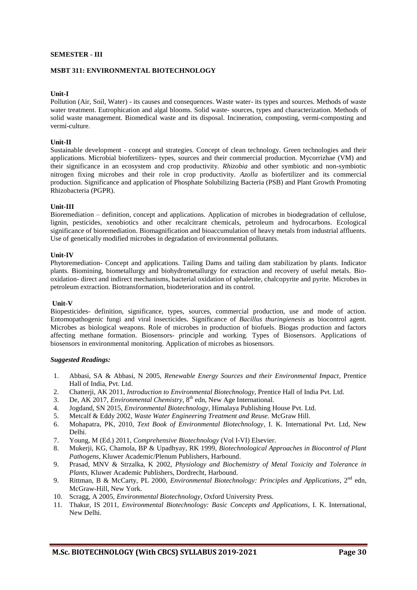#### **SEMESTER - III**

#### **MSBT 311: ENVIRONMENTAL BIOTECHNOLOGY**

#### **Unit-I**

Pollution (Air, Soil, Water) - its causes and consequences. Waste water- its types and sources. Methods of waste water treatment. Eutrophication and algal blooms. Solid waste- sources, types and characterization. Methods of solid waste management. Biomedical waste and its disposal. Incineration, composting, vermi-composting and vermi-culture.

#### **Unit-II**

Sustainable development - concept and strategies. Concept of clean technology. Green technologies and their applications. Microbial biofertilizers- types, sources and their commercial production. Mycorrizhae (VM) and their significance in an ecosystem and crop productivity. *Rhizobia* and other symbiotic and non-symbiotic nitrogen fixing microbes and their role in crop productivity. *Azolla* as biofertilizer and its commercial production. Significance and application of Phosphate Solubilizing Bacteria (PSB) and Plant Growth Promoting Rhizobacteria (PGPR).

#### **Unit-III**

Bioremediation – definition, concept and applications. Application of microbes in biodegradation of cellulose, lignin, pesticides, xenobiotics and other recalcitrant chemicals, petroleum and hydrocarbons. Ecological significance of bioremediation. Biomagnification and bioaccumulation of heavy metals from industrial affluents. Use of genetically modified microbes in degradation of environmental pollutants.

#### **Unit-IV**

Phytoremediation- Concept and applications. Tailing Dams and tailing dam stabilization by plants. Indicator plants. Biomining, biometallurgy and biohydrometallurgy for extraction and recovery of useful metals. Biooxidation- direct and indirect mechanisms, bacterial oxidation of sphalerite, chalcopyrite and pyrite. Microbes in petroleum extraction. Biotransformation, biodeterioration and its control.

#### **Unit-V**

Biopesticides- definition, significance, types, sources, commercial production, use and mode of action. Entomopathogenic fungi and viral insecticides. Significance of *Bacillus thuringienesis* as biocontrol agent. Microbes as biological weapons. Role of microbes in production of biofuels. Biogas production and factors affecting methane formation. Biosensors- principle and working. Types of Biosensors. Applications of biosensors in environmental monitoring. Application of microbes as biosensors.

- 1. Abbasi, SA & Abbasi, N 2005, *Renewable Energy Sources and their Environmental Impact*, Prentice Hall of India, Pvt. Ltd.
- 2. Chatterji, AK 2011, *Introduction to Environmental Biotechnology*, Prentice Hall of India Pvt. Ltd.
- 3. De, AK 2017, *Environmental Chemistry*, 8<sup>th</sup> edn, New Age International.
- 4. Jogdand, SN 2015, *Environmental Biotechnology*, Himalaya Publishing House Pvt. Ltd.
- 5. Metcalf & Eddy 2002, *Waste Water Engineering Treatment and Reuse.* McGraw Hill.
- 6. Mohapatra, PK, 2010, *Text Book of Environmental Biotechnology*, I. K. International Pvt. Ltd, New Delhi.
- 7. Young, M (Ed.) 2011, *Comprehensive Biotechnology* (Vol I-VI) Elsevier.
- 8. Mukerji, KG, Chamola, BP & Upadhyay, RK 1999, *Biotechnological Approaches in Biocontrol of Plant Pathogens,* Kluwer Academic/Plenum Publishers, Harbound.
- 9. Prasad, MNV & Strzalka, K 2002, *Physiology and Biochemistry of Metal Toxicity and Tolerance in Plants,* Kluwer Academic Publishers, Dordrecht, Harbound.
- 9. Rittman, B & McCarty, PL 2000, *Environmental Biotechnology: Principles and Applications*, 2<sup>nd</sup> edn, McGraw-Hill, New York.
- 10. Scragg, A 2005, *Environmental Biotechnology*, Oxford University Press.
- 11. Thakur, IS 2011, *Environmental Biotechnology: Basic Concepts and Applications*, I. K. International, New Delhi.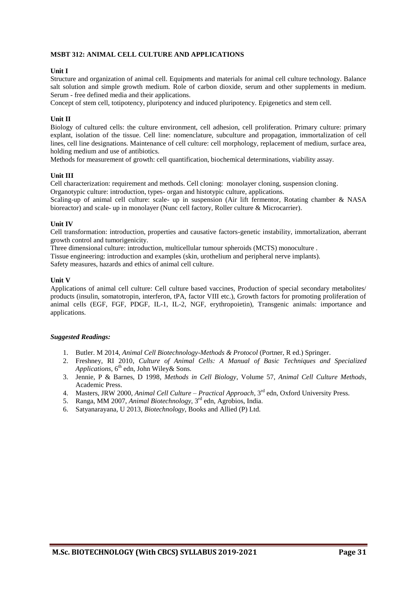#### **MSBT 312: ANIMAL CELL CULTURE AND APPLICATIONS**

#### **Unit I**

Structure and organization of animal cell. Equipments and materials for animal cell culture technology. Balance salt solution and simple growth medium. Role of carbon dioxide, serum and other supplements in medium. Serum - free defined media and their applications.

Concept of stem cell, totipotency, pluripotency and induced pluripotency. Epigenetics and stem cell.

#### **Unit II**

Biology of cultured cells: the culture environment, cell adhesion, cell proliferation. Primary culture: primary explant, isolation of the tissue. Cell line: nomenclature, subculture and propagation, immortalization of cell lines, cell line designations. Maintenance of cell culture: cell morphology, replacement of medium, surface area, holding medium and use of antibiotics.

Methods for measurement of growth: cell quantification, biochemical determinations, viability assay.

#### **Unit III**

Cell characterization: requirement and methods. Cell cloning: monolayer cloning, suspension cloning. Organotypic culture: introduction, types- organ and histotypic culture, applications.

Scaling-up of animal cell culture: scale- up in suspension (Air lift fermentor, Rotating chamber & NASA bioreactor) and scale- up in monolayer (Nunc cell factory, Roller culture & Microcarrier).

#### **Unit IV**

Cell transformation: introduction, properties and causative factors-genetic instability, immortalization, aberrant growth control and tumorigenicity.

Three dimensional culture: introduction, multicellular tumour spheroids (MCTS) monoculture . Tissue engineering: introduction and examples (skin, urothelium and peripheral nerve implants). Safety measures, hazards and ethics of animal cell culture.

#### **Unit V**

Applications of animal cell culture: Cell culture based vaccines, Production of special secondary metabolites/ products (insulin, somatotropin, interferon, tPA, factor VIII etc.), Growth factors for promoting proliferation of animal cells (EGF, FGF, PDGF, IL-1, IL-2, NGF, erythropoietin), Transgenic animals: importance and applications.

- 1. Butler. M 2014, *Animal Cell Biotechnology-Methods & Protocol* (Portner, R ed.) Springer.
- 2. Freshney, RI 2010, *Culture of Animal Cells: A Manual of Basic Techniques and Specialized* Applications, 6<sup>th</sup> edn, John Wiley& Sons.
- 3. Jennie, P & Barnes, D 1998, *Methods in Cell Biology*, Volume 57, *Animal Cell Culture Methods*, Academic Press.
- 4. Masters, JRW 2000, *Animal Cell Culture Practical Approach*, 3<sup>rd</sup> edn, Oxford University Press.
- 5. Ranga, MM 2007, *Animal Biotechnology*, 3<sup>rd</sup> edn, Agrobios, India.
- 6. Satyanarayana, U 2013, *Biotechnology*, Books and Allied (P) Ltd.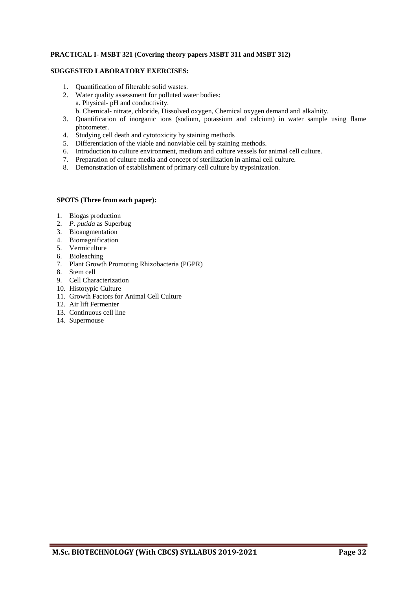#### **PRACTICAL I- MSBT 321 (Covering theory papers MSBT 311 and MSBT 312)**

#### **SUGGESTED LABORATORY EXERCISES:**

- 1. Quantification of filterable solid wastes.
- 2. Water quality assessment for polluted water bodies: a. Physical- pH and conductivity.
	- b. Chemical- nitrate, chloride, Dissolved oxygen, Chemical oxygen demand and alkalnity.
- 3. Quantification of inorganic ions (sodium, potassium and calcium) in water sample using flame photometer.
- 4. Studying cell death and cytotoxicity by staining methods
- 5. Differentiation of the viable and nonviable cell by staining methods.
- 6. Introduction to culture environment, medium and culture vessels for animal cell culture.
- 7. Preparation of culture media and concept of sterilization in animal cell culture.
- 8. Demonstration of establishment of primary cell culture by trypsinization.

#### **SPOTS (Three from each paper):**

- 1. Biogas production
- 2. *P. putida* as Superbug
- 3. Bioaugmentation
- 4. Biomagnification
- 5. Vermiculture
- 6. Bioleaching
- 7. Plant Growth Promoting Rhizobacteria (PGPR)
- 8. Stem cell
- 9. Cell Characterization
- 10. Histotypic Culture
- 11. Growth Factors for Animal Cell Culture
- 12. Air lift Fermenter
- 13. Continuous cell line
- 14. Supermouse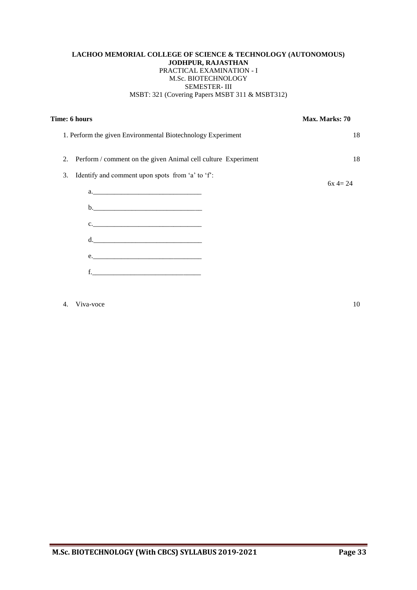#### **LACHOO MEMORIAL COLLEGE OF SCIENCE & TECHNOLOGY (AUTONOMOUS) JODHPUR, RAJASTHAN** PRACTICAL EXAMINATION - I M.Sc. BIOTECHNOLOGY SEMESTER- III MSBT: 321 (Covering Papers MSBT 311 & MSBT312)

| Time: 6 hours                                                    | Max. Marks: 70 |
|------------------------------------------------------------------|----------------|
| 1. Perform the given Environmental Biotechnology Experiment      | 18             |
| 2. Perform / comment on the given Animal cell culture Experiment | 18             |
| Identify and comment upon spots from 'a' to 'f':<br>3.           | $6x = 24$      |
| $c.$ $\qquad \qquad$<br>$d. \underline{\hspace{2cm}}$<br>e.      |                |
|                                                                  |                |

4. Viva-voce 10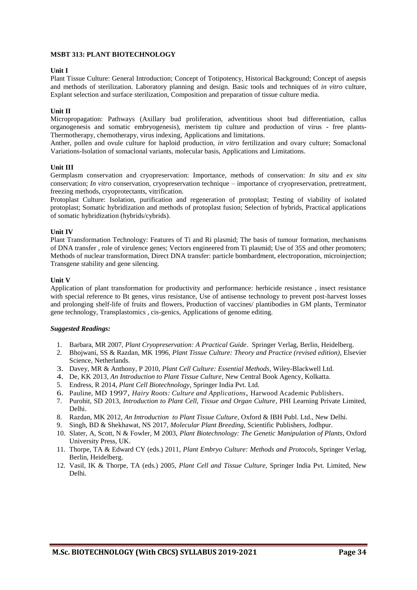#### **MSBT 313: PLANT BIOTECHNOLOGY**

#### **Unit I**

Plant Tissue Culture: General Introduction; Concept of Totipotency, Historical Background; Concept of asepsis and methods of sterilization. Laboratory planning and design. Basic tools and techniques of *in vitro* culture, Explant selection and surface sterilization, Composition and preparation of tissue culture media.

#### **Unit II**

Micropropagation: Pathways (Axillary bud proliferation, adventitious shoot bud differentiation, callus organogenesis and somatic embryogenesis), meristem tip culture and production of virus - free plants-Thermotherapy, chemotherapy, virus indexing, Applications and limitations.

Anther, pollen and ovule culture for haploid production, *in vitro* fertilization and ovary culture; Somaclonal Variations-Isolation of somaclonal variants, molecular basis, Applications and Limitations.

#### **Unit III**

Germplasm conservation and cryopreservation: Importance, methods of conservation: *In situ* and *ex situ*  conservation; *In vitro* conservation, cryopreservation technique – importance of cryopreservation, pretreatment, freezing methods, cryoprotectants, vitrification.

Protoplast Culture: Isolation, purification and regeneration of protoplast; Testing of viability of isolated protoplast; Somatic hybridization and methods of protoplast fusion; Selection of hybrids, Practical applications of somatic hybridization (hybrids/cybrids).

#### **Unit IV**

Plant Transformation Technology: Features of Ti and Ri plasmid; The basis of tumour formation, mechanisms of DNA transfer , role of virulence genes; Vectors engineered from Ti plasmid; Use of 35S and other promoters; Methods of nuclear transformation, Direct DNA transfer: particle bombardment, electroporation, microinjection; Transgene stability and gene silencing.

#### **Unit V**

Application of plant transformation for productivity and performance: herbicide resistance , insect resistance with special reference to Bt genes, virus resistance. Use of antisense technology to prevent post-harvest losses and prolonging shelf-life of fruits and flowers, Production of vaccines/ plantibodies in GM plants, Terminator gene technology, Transplastomics , cis-genics, Applications of genome editing.

- 1. Barbara, MR 2007, *Plant Cryopreservation: A Practical Guide*. Springer Verlag, Berlin, Heidelberg.
- 2. Bhojwani, SS & Razdan, MK 1996, *Plant Tissue Culture: Theory and Practice (revised edition)*, Elsevier Science, Netherlands.
- 3. Davey, MR & Anthony, P 2010, *Plant Cell Culture: Essential Methods*, Wiley-Blackwell Ltd.
- 4. De, KK 2013, *An Introduction to Plant Tissue Culture*, New Central Book Agency, Kolkatta.
- 5. Endress, R 2014, *Plant Cell Biotechnology*, Springer India Pvt. Ltd.
- 6. Pauline, MD 1997, *Hairy Roots: Culture and Applications*, Harwood Academic Publishers.
- 7. Purohit, SD 2013, *Introduction to Plant Cell, Tissue and Organ Culture*, PHI Learning Private Limited, Delhi.
- 8. Razdan, MK 2012, *An Introduction to Plant Tissue Culture*, Oxford & IBH Publ. Ltd., New Delhi.
- 9. Singh, BD & Shekhawat, NS 2017, *Molecular Plant Breeding*, Scientific Publishers, Jodhpur.
- 10. Slater, A, Scott, N & Fowler, M 2003, *Plant Biotechnology: The Genetic Manipulation of Plants*, Oxford University Press, UK.
- 11. Thorpe, TA & Edward CY (eds.) 2011, *Plant Embryo Culture: Methods and Protocols*, Springer Verlag, Berlin, Heidelberg.
- 12. Vasil, IK & Thorpe, TA (eds.) 2005, *Plant Cell and Tissue Culture,* Springer India Pvt. Limited, New Delhi.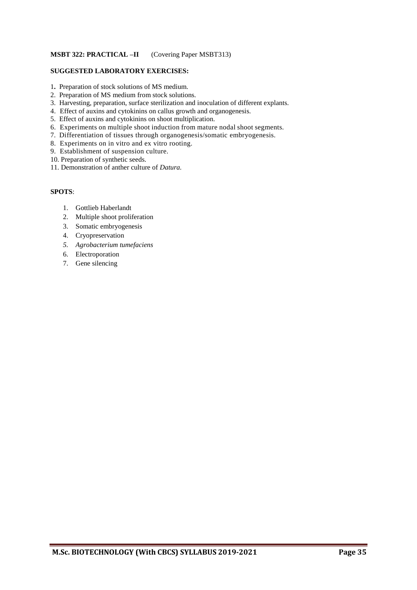#### **MSBT 322: PRACTICAL –II** (Covering Paper MSBT313)

#### **SUGGESTED LABORATORY EXERCISES:**

- 1**.** Preparation of stock solutions of MS medium.
- 2. Preparation of MS medium from stock solutions.
- 3. Harvesting, preparation, surface sterilization and inoculation of different explants.
- 4. Effect of auxins and cytokinins on callus growth and organogenesis.
- 5. Effect of auxins and cytokinins on shoot multiplication.
- 6. Experiments on multiple shoot induction from mature nodal shoot segments.
- 7. Differentiation of tissues through organogenesis/somatic embryogenesis.
- 8. Experiments on in vitro and ex vitro rooting.
- 9. Establishment of suspension culture.
- 10. Preparation of synthetic seeds.
- 11. Demonstration of anther culture of *Datura.*

#### **SPOTS**:

- 1. Gottlieb Haberlandt
- 2. Multiple shoot proliferation
- 3. Somatic embryogenesis
- 4. Cryopreservation
- *5. Agrobacterium tumefaciens*
- 6. Electroporation
- 7. Gene silencing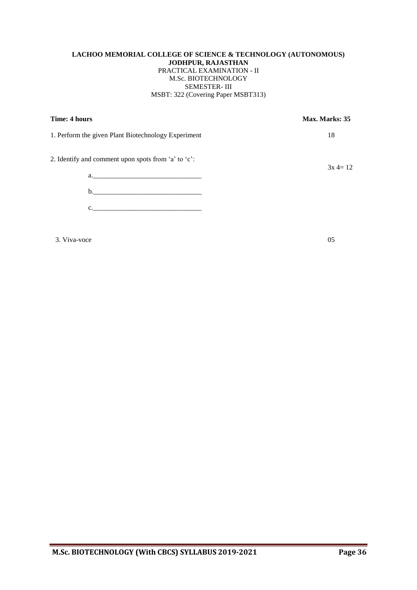#### **LACHOO MEMORIAL COLLEGE OF SCIENCE & TECHNOLOGY (AUTONOMOUS) JODHPUR, RAJASTHAN** PRACTICAL EXAMINATION - II M.Sc. BIOTECHNOLOGY SEMESTER- III MSBT: 322 (Covering Paper MSBT313)

| Time: 4 hours                                       | Max. Marks: 35 |
|-----------------------------------------------------|----------------|
| 1. Perform the given Plant Biotechnology Experiment | 18             |
| 2. Identify and comment upon spots from 'a' to 'c': | $3x = 12$      |
|                                                     |                |
| $\mathbf{C}$ .                                      |                |
|                                                     |                |

3. Viva-voce 05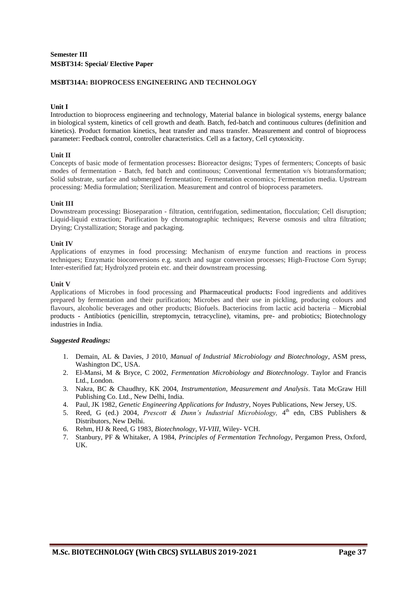#### **MSBT314A: BIOPROCESS ENGINEERING AND TECHNOLOGY**

#### **Unit I**

Introduction to bioprocess engineering and technology, Material balance in biological systems, energy balance in biological system, kinetics of cell growth and death. Batch, fed-batch and continuous cultures (definition and kinetics). Product formation kinetics, heat transfer and mass transfer. Measurement and control of bioprocess parameter: Feedback control, controller characteristics. Cell as a factory, Cell cytotoxicity.

#### **Unit II**

Concepts of basic mode of fermentation processes**:** Bioreactor designs; Types of fermenters; Concepts of basic modes of fermentation - Batch, fed batch and continuous; Conventional fermentation v/s biotransformation; Solid substrate, surface and submerged fermentation; Fermentation economics; Fermentation media. Upstream processing: Media formulation; Sterilization. Measurement and control of bioprocess parameters.

#### **Unit III**

Downstream processing**:** Bioseparation - filtration, centrifugation, sedimentation, flocculation; Cell disruption; Liquid-liquid extraction; Purification by chromatographic techniques; Reverse osmosis and ultra filtration; Drying; Crystallization; Storage and packaging.

#### **Unit IV**

Applications of enzymes in food processing: Mechanism of enzyme function and reactions in process techniques; Enzymatic bioconversions e.g. starch and sugar conversion processes; High-Fructose Corn Syrup; Inter-esterified fat; Hydrolyzed protein etc. and their downstream processing.

#### **Unit V**

Applications of Microbes in food processing and Pharmaceutical products**:** Food ingredients and additives prepared by fermentation and their purification; Microbes and their use in pickling, producing colours and flavours, alcoholic beverages and other products; Biofuels. Bacteriocins from lactic acid bacteria – Microbial products - Antibiotics (penicillin, streptomycin, tetracycline), vitamins, pre- and probiotics; Biotechnology industries in India.

- 1. Demain, AL & Davies, J 2010, *Manual of Industrial Microbiology and Biotechnology*, ASM press, Washington DC, USA.
- 2. El-Mansi, M & Bryce, C 2002, *Fermentation Microbiology and Biotechnology*. Taylor and Francis Ltd., London.
- 3. Nakra, BC & Chaudhry, KK 2004, *Instrumentation, Measurement and Analysis*. Tata McGraw Hill Publishing Co. Ltd., New Delhi, India.
- 4. Paul, JK 1982, *Genetic Engineering Applications for Industry*, Noyes Publications, New Jersey, US.
- 5. Reed, G (ed.) 2004, *Prescott & Dunn's Industrial Microbiology*, 4<sup>th</sup> edn, CBS Publishers & Distributors, New Delhi.
- 6. Rehm, HJ & Reed, G 1983, *Biotechnology*, *VI-VIII*, Wiley- VCH.
- 7. Stanbury, PF & Whitaker, A 1984, *Principles of Fermentation Technology*, Pergamon Press, Oxford, UK.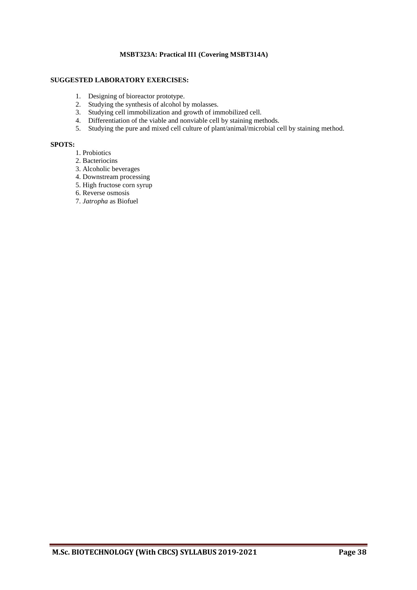#### **MSBT323A: Practical II1 (Covering MSBT314A)**

#### **SUGGESTED LABORATORY EXERCISES:**

- 1. Designing of bioreactor prototype.
- 2. Studying the synthesis of alcohol by molasses.
- 3. Studying cell immobilization and growth of immobilized cell.
- 4. Differentiation of the viable and nonviable cell by staining methods.
- 5. Studying the pure and mixed cell culture of plant/animal/microbial cell by staining method.

#### **SPOTS:**

- 1. Probiotics
- 2. Bacteriocins
- 3. Alcoholic beverages
- 4. Downstream processing
- 5. High fructose corn syrup
- 6. Reverse osmosis
- 7. *Jatropha* as Biofuel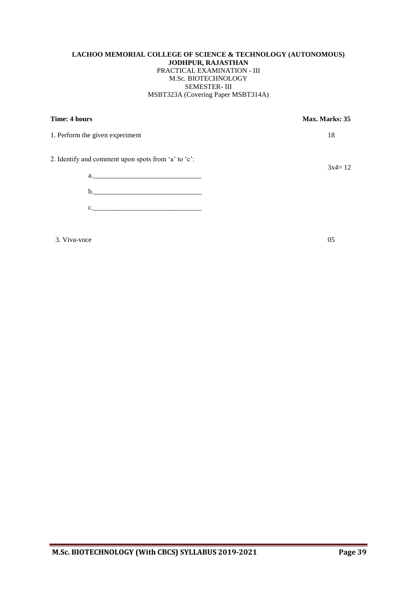#### **LACHOO MEMORIAL COLLEGE OF SCIENCE & TECHNOLOGY (AUTONOMOUS) JODHPUR, RAJASTHAN** PRACTICAL EXAMINATION - III M.Sc. BIOTECHNOLOGY SEMESTER- III MSBT323A (Covering Paper MSBT314A)

**Time: 4 hours** Max. Marks: 35

1. Perform the given experiment 18

 $3x4=12$ 

2. Identify and comment upon spots from 'a' to 'c':

a.\_\_\_\_\_\_\_\_\_\_\_\_\_\_\_\_\_\_\_\_\_\_\_\_\_\_\_\_\_\_\_ b.\_\_\_\_\_\_\_\_\_\_\_\_\_\_\_\_\_\_\_\_\_\_\_\_\_\_\_\_\_\_\_ c.\_\_\_\_\_\_\_\_\_\_\_\_\_\_\_\_\_\_\_\_\_\_\_\_\_\_\_\_\_\_\_

 $3. \text{Viva-voce}$  05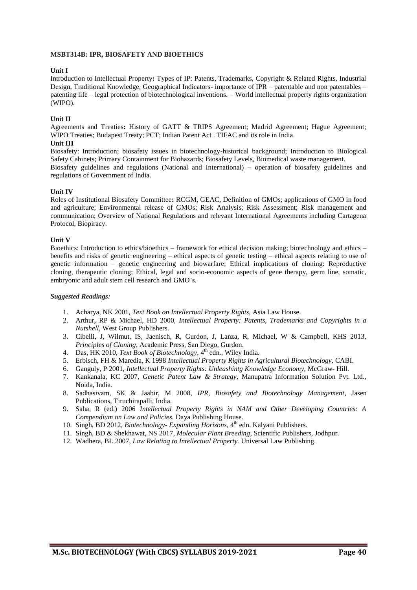#### **MSBT314B: IPR, BIOSAFETY AND BIOETHICS**

#### **Unit I**

Introduction to Intellectual Property**:** Types of IP: Patents, Trademarks, Copyright & Related Rights, Industrial Design, Traditional Knowledge, Geographical Indicators- importance of IPR – patentable and non patentables – patenting life – legal protection of biotechnological inventions. – World intellectual property rights organization (WIPO).

#### **Unit II**

Agreements and Treaties**:** History of GATT & TRIPS Agreement; Madrid Agreement; Hague Agreement; WIPO Treaties; Budapest Treaty; PCT; Indian Patent Act . TIFAC and its role in India.

#### **Unit III**

Biosafety: Introduction; biosafety issues in biotechnology-historical background; Introduction to Biological Safety Cabinets; Primary Containment for Biohazards; Biosafety Levels, Biomedical waste management. Biosafety guidelines and regulations (National and International) – operation of biosafety guidelines and regulations of Government of India.

#### **Unit IV**

Roles of Institutional Biosafety Committee**:** RCGM, GEAC, Definition of GMOs; applications of GMO in food and agriculture; Environmental release of GMOs; Risk Analysis; Risk Assessment; Risk management and communication; Overview of National Regulations and relevant International Agreements including Cartagena Protocol, Biopiracy.

#### **Unit V**

Bioethics: Introduction to ethics/bioethics – framework for ethical decision making; biotechnology and ethics – benefits and risks of genetic engineering – ethical aspects of genetic testing – ethical aspects relating to use of genetic information – genetic engineering and biowarfare; Ethical implications of cloning: Reproductive cloning, therapeutic cloning; Ethical, legal and socio-economic aspects of gene therapy, germ line, somatic, embryonic and adult stem cell research and GMO's.

- 1. Acharya, NK 2001, *Text Book on Intellectual Property Rights,* Asia Law House.
- 2. Arthur, RP & Michael, HD 2000, *Intellectual Property: Patents, Trademarks and Copyrights in a Nutshell,* West Group Publishers.
- 3. Cibelli, J, Wilmut, IS, Jaenisch, R, Gurdon, J, Lanza, R, Michael, W & Campbell, KHS 2013, *Principles of Cloning*, Academic Press, San Diego, Gurdon.
- 4. Das, HK 2010, Text Book of Biotechnology, 4<sup>th</sup> edn., Wiley India.
- 5. Erbisch, FH & Maredia, K 1998 *Intellectual Property Rights in Agricultural Biotechnology,* CABI.
- 6. Ganguly, P 2001, *Intellectual Property Rights: Unleashintg Knowledge Economy,* McGraw- Hill.
- 7. Kankanala, KC 2007, *Genetic Patent Law & Strategy*, Manupatra Information Solution Pvt. Ltd., Noida, India.
- 8. Sadhasivam, SK & Jaabir, M 2008, *IPR, Biosafety and Biotechnology Management*, Jasen Publications, Tiruchirapalli, India.
- 9. Saha, R (ed.) 2006 *Intellectual Property Rights in NAM and Other Developing Countries: A Compendium on Law and Policies.* Daya Publishing House.
- 10. Singh, BD 2012, *Biotechnology- Expanding Horizons*, 4<sup>th</sup> edn. Kalyani Publishers.
- 11. Singh, BD & Shekhawat, NS 2017, *Molecular Plant Breeding*, Scientific Publishers, Jodhpur.
- 12. Wadhera, BL 2007, *Law Relating to Intellectual Property.* Universal Law Publishing.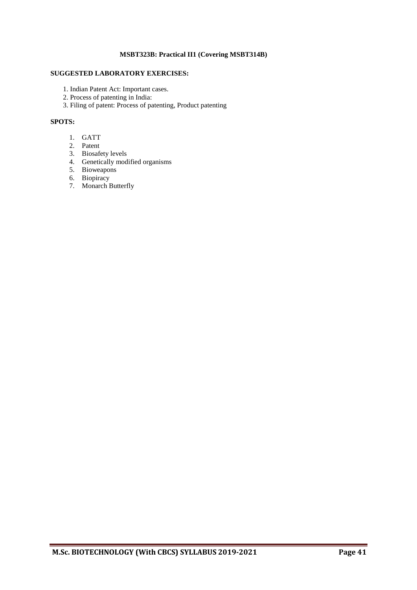#### **MSBT323B: Practical II1 (Covering MSBT314B)**

#### **SUGGESTED LABORATORY EXERCISES:**

- 1. Indian Patent Act: Important cases.
- 2. Process of patenting in India:
- 3. Filing of patent: Process of patenting, Product patenting

#### **SPOTS:**

- 1. GATT
- 2. Patent
- 3. Biosafety levels
- 4. Genetically modified organisms
- 5. Bioweapons
- 6. Biopiracy
- 7. Monarch Butterfly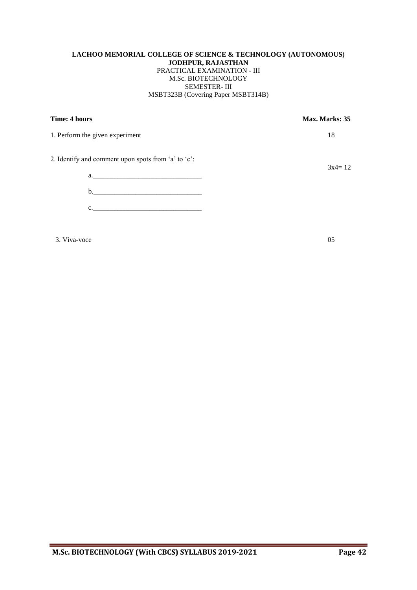#### **LACHOO MEMORIAL COLLEGE OF SCIENCE & TECHNOLOGY (AUTONOMOUS) JODHPUR, RAJASTHAN** PRACTICAL EXAMINATION - III M.Sc. BIOTECHNOLOGY SEMESTER- III MSBT323B (Covering Paper MSBT314B)

**Time: 4 hours** Max. Marks: 35

1. Perform the given experiment 18

 $3x4=12$ 

2. Identify and comment upon spots from 'a' to 'c':

a.\_\_\_\_\_\_\_\_\_\_\_\_\_\_\_\_\_\_\_\_\_\_\_\_\_\_\_\_\_\_\_ b.\_\_\_\_\_\_\_\_\_\_\_\_\_\_\_\_\_\_\_\_\_\_\_\_\_\_\_\_\_\_\_  $c.$ 

 $3. \text{Viva-voce}$  05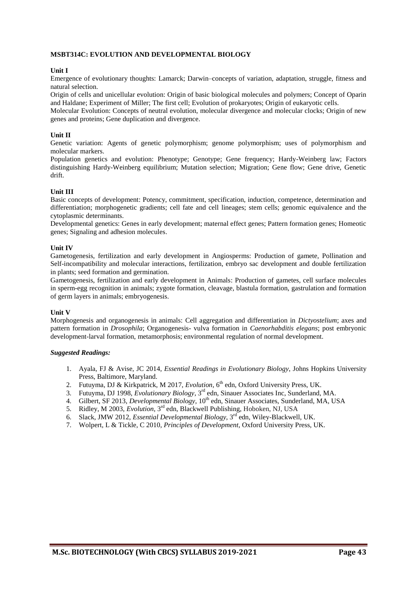#### **MSBT314C: EVOLUTION AND DEVELOPMENTAL BIOLOGY**

#### **Unit I**

Emergence of evolutionary thoughts: Lamarck; Darwin–concepts of variation, adaptation, struggle, fitness and natural selection.

Origin of cells and unicellular evolution: Origin of basic biological molecules and polymers; Concept of Oparin and Haldane; Experiment of Miller; The first cell; Evolution of prokaryotes; Origin of eukaryotic cells.

Molecular Evolution: Concepts of neutral evolution, molecular divergence and molecular clocks; Origin of new genes and proteins; Gene duplication and divergence.

#### **Unit II**

Genetic variation: Agents of genetic polymorphism; genome polymorphism; uses of polymorphism and molecular markers.

Population genetics and evolution: Phenotype; Genotype; Gene frequency; Hardy-Weinberg law; Factors distinguishing Hardy-Weinberg equilibrium; Mutation selection; Migration; Gene flow; Gene drive, Genetic drift.

#### **Unit III**

Basic concepts of development: Potency, commitment, specification, induction, competence, determination and differentiation; morphogenetic gradients; cell fate and cell lineages; stem cells; genomic equivalence and the cytoplasmic determinants.

Developmental genetics: Genes in early development; maternal effect genes; Pattern formation genes; Homeotic genes; Signaling and adhesion molecules.

#### **Unit IV**

Gametogenesis, fertilization and early development in Angiosperms: Production of gamete, Pollination and Self-incompatibility and molecular interactions, fertilization, embryo sac development and double fertilization in plants; seed formation and germination.

Gametogenesis, fertilization and early development in Animals: Production of gametes, cell surface molecules in sperm-egg recognition in animals; zygote formation, cleavage, blastula formation, gastrulation and formation of germ layers in animals; embryogenesis.

#### **Unit V**

Morphogenesis and organogenesis in animals: Cell aggregation and differentiation in *Dictyostelium*; axes and pattern formation in *Drosophila*; Organogenesis- vulva formation in *Caenorhabditis elegans*; post embryonic development-larval formation, metamorphosis; environmental regulation of normal development.

- 1. Ayala, FJ & Avise, JC 2014, *Essential Readings in Evolutionary Biology*, Johns Hopkins University Press, Baltimore, Maryland.
- 2. Futuyma, DJ & Kirkpatrick, M 2017, *Evolution*, 6<sup>th</sup> edn, Oxford University Press, UK.
- 3. Futuyma, DJ 1998, *Evolutionary Biology*, 3 rd edn, Sinauer Associates Inc, Sunderland, MA.
- 4. Gilbert, SF 2013, *Developmental Biology*, 10<sup>th</sup> edn, Sinauer Associates, Sunderland, MA, USA
- 5. Ridley, M 2003, *Evolution*, 3<sup>rd</sup> edn, Blackwell Publishing, Hoboken, NJ, USA
- 6. Slack, JMW 2012, *Essential Developmental Biology*, 3 rd edn, Wiley-Blackwell, UK.
- 7. Wolpert, L & Tickle, C 2010, *Principles of Development*, Oxford University Press, UK.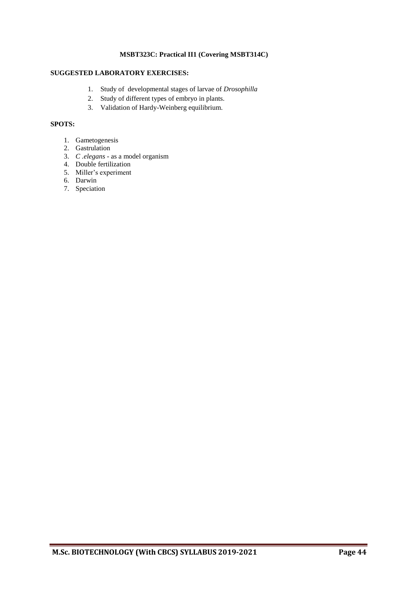#### **MSBT323C: Practical II1 (Covering MSBT314C)**

### **SUGGESTED LABORATORY EXERCISES:**

- 1. Study of developmental stages of larvae of *Drosophilla*
- 2. Study of different types of embryo in plants.
- 3. Validation of Hardy-Weinberg equilibrium.

#### **SPOTS:**

- 1. Gametogenesis
- 2. Gastrulation
- 3. *C .elegans* as a model organism
- 4. Double fertilization
- 5. Miller's experiment
- 6. Darwin
- 7. Speciation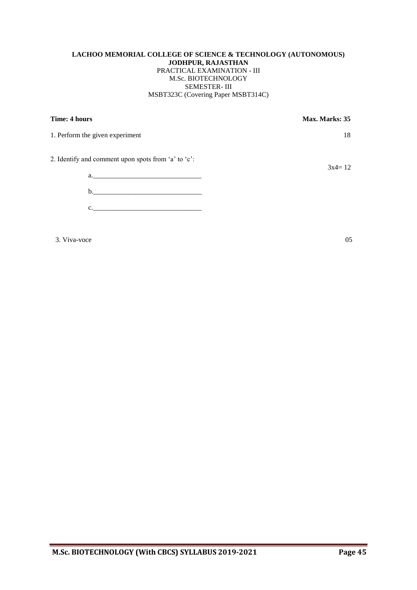#### **LACHOO MEMORIAL COLLEGE OF SCIENCE & TECHNOLOGY (AUTONOMOUS) JODHPUR, RAJASTHAN** PRACTICAL EXAMINATION - III M.Sc. BIOTECHNOLOGY SEMESTER- III MSBT323C (Covering Paper MSBT314C)

**Time: 4 hours** Max. Marks: 35

1. Perform the given experiment 18

 $3x4=12$ 

2. Identify and comment upon spots from 'a' to 'c':

a.\_\_\_\_\_\_\_\_\_\_\_\_\_\_\_\_\_\_\_\_\_\_\_\_\_\_\_\_\_\_\_ b.\_\_\_\_\_\_\_\_\_\_\_\_\_\_\_\_\_\_\_\_\_\_\_\_\_\_\_\_\_\_\_  $c.$ 

 $3. \text{Viva-voce}$   $05$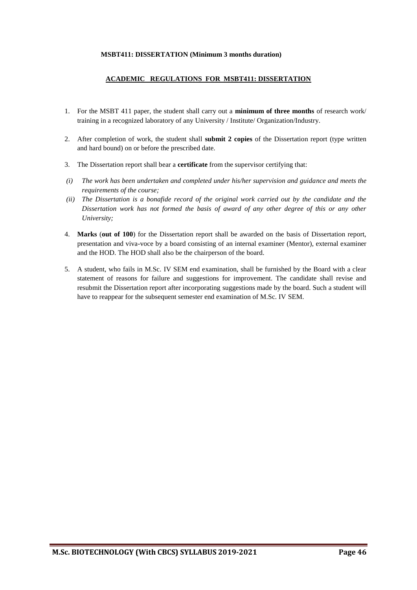#### **MSBT411: DISSERTATION (Minimum 3 months duration)**

#### **ACADEMIC REGULATIONS FOR MSBT411: DISSERTATION**

- 1. For the MSBT 411 paper, the student shall carry out a **minimum of three months** of research work/ training in a recognized laboratory of any University / Institute/ Organization/Industry.
- 2. After completion of work, the student shall **submit 2 copies** of the Dissertation report (type written and hard bound) on or before the prescribed date.
- 3. The Dissertation report shall bear a **certificate** from the supervisor certifying that:
- *(i) The work has been undertaken and completed under his/her supervision and guidance and meets the requirements of the course;*
- *(ii) The Dissertation is a bonafide record of the original work carried out by the candidate and the Dissertation work has not formed the basis of award of any other degree of this or any other University;*
- 4. **Marks** (**out of 100**) for the Dissertation report shall be awarded on the basis of Dissertation report, presentation and viva-voce by a board consisting of an internal examiner (Mentor), external examiner and the HOD. The HOD shall also be the chairperson of the board.
- 5. A student, who fails in M.Sc. IV SEM end examination, shall be furnished by the Board with a clear statement of reasons for failure and suggestions for improvement. The candidate shall revise and resubmit the Dissertation report after incorporating suggestions made by the board. Such a student will have to reappear for the subsequent semester end examination of M.Sc. IV SEM.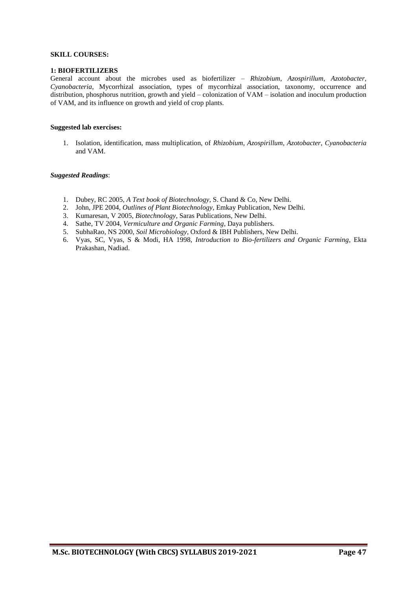#### **SKILL COURSES:**

#### **1: BIOFERTILIZERS**

General account about the microbes used as biofertilizer – *Rhizobium*, *Azospirillum*, *Azotobacter*, *Cyanobacteria*, Mycorrhizal association, types of mycorrhizal association, taxonomy, occurrence and distribution, phosphorus nutrition, growth and yield – colonization of VAM – isolation and inoculum production of VAM, and its influence on growth and yield of crop plants.

#### **Suggested lab exercises:**

1. Isolation, identification, mass multiplication, of *Rhizobium*, *Azospirillum*, *Azotobacter*, *Cyanobacteria* and VAM.

- 1. Dubey, RC 2005, *A Text book of Biotechnology,* S. Chand & Co, New Delhi.
- 2. John, JPE 2004, *Outlines of Plant Biotechnology,* Emkay Publication, New Delhi.
- 3. Kumaresan, V 2005, *Biotechnology*, Saras Publications, New Delhi.
- 4. Sathe, TV 2004, *Vermiculture and Organic Farming,* Daya publishers.
- 5. SubhaRao, NS 2000, *Soil Microbiology*, Oxford & IBH Publishers, New Delhi.
- 6. Vyas, SC, Vyas, S & Modi, HA 1998, *Introduction to Bio-fertilizers and Organic Farming*, Ekta Prakashan, Nadiad.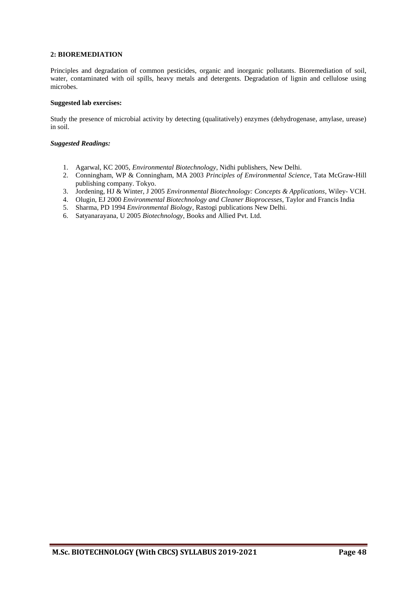#### **2: BIOREMEDIATION**

Principles and degradation of common pesticides, organic and inorganic pollutants. Bioremediation of soil, water, contaminated with oil spills, heavy metals and detergents. Degradation of lignin and cellulose using microbes.

#### **Suggested lab exercises:**

Study the presence of microbial activity by detecting (qualitatively) enzymes (dehydrogenase, amylase, urease) in soil.

- 1. Agarwal, KC 2005, *Environmental Biotechnology*, Nidhi publishers, New Delhi.
- 2. Conningham, WP & Conningham, MA 2003 *Principles of Environmental Science*, Tata McGraw-Hill publishing company. Tokyo.
- 3. Jordening, HJ & Winter, J 2005 *Environmental Biotechnology: Concepts & Applications*, Wiley- VCH.
- 4. Olugin, EJ 2000 *Environmental Biotechnology and Cleaner Bioprocesses*, Taylor and Francis India
- 5. Sharma, PD 1994 *Environmental Biology*, Rastogi publications New Delhi.
- 6. Satyanarayana, U 2005 *Biotechnology*, Books and Allied Pvt. Ltd.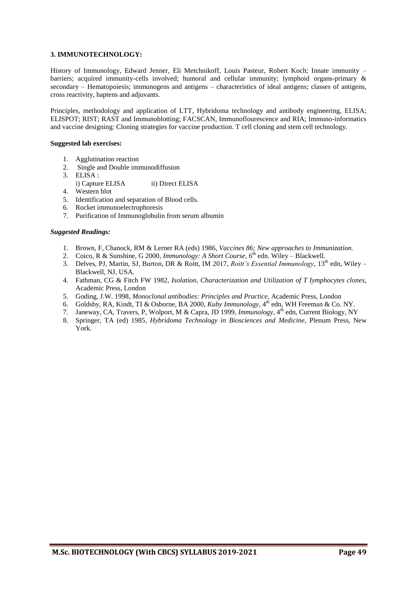#### **3. IMMUNOTECHNOLOGY:**

History of Immunology, Edward Jenner, Eli Metchnikoff, Louis Pasteur, Robert Koch; Innate immunity – barriers; acquired immunity-cells involved; humoral and cellular immunity; lymphoid organs-primary & secondary – Hematopoiesis; immunogens and antigens – characteristics of ideal antigens; classes of antigens, cross reactivity, haptens and adjuvants.

Principles, methodology and application of LTT, Hybridoma technology and antibody engineering, ELISA; ELISPOT; RIST; RAST and Immunoblotting; FACSCAN, Immunoflourescence and RIA; Immuno-informatics and vaccine designing: Cloning strategies for vaccine production. T cell cloning and stem cell technology.

#### **Suggested lab exercises:**

- 1. Agglutination reaction
- 2. Single and Double immunodiffusion
- 3. ELISA :
- i) Capture ELISA iii) Direct ELISA
- 4. Western blot
- 5. Identification and separation of Blood cells.
- 6. Rocket immunoelectrophoresis
- 7. Purification of Immunoglobulin from serum albumin

- 1. Brown, F, Chanock, RM & Lerner RA (eds) 1986, *Vaccines 86; New approaches to Immunization.*
- 2. Coico, R & Sunshine, G 2000, *Immunology: A Short Course*, 6<sup>th</sup> edn. Wiley Blackwell.
- 3. Delves, PJ, Martin, SJ, Burton, DR & Roitt, IM 2017, *Roitt's Essential Immunology*, 13<sup>th</sup> edn, Wiley Blackwell, NJ, USA.
- 4. Fathman, CG & Fitch FW 1982, *Isolation, Characterization and Utilization of T Iymphocytes clones*, Academic Press, London
- 5. Goding, J.W. 1998, *Monoclonal antibodies: Principles and Practice*, Academic Press, London
- 6. Goldsby, RA, Kindt, TI & Osborne, BA 2000, Kuby Immunology, 4<sup>th</sup> edn, WH Freeman & Co. NY.
- 7. Janeway, CA, Travers, P, Wolport, M & Capra, JD 1999, *Immunology*, 4<sup>th</sup> edn, Current Biology, NY
- 8. Springer, TA (ed) 1985, *Hybridoma Technology in Biosciences and Medicine,* Plenum Press, New York.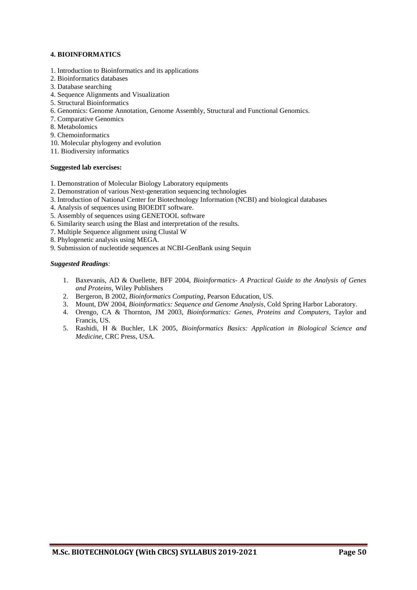#### **4. BIOINFORMATICS**

- 1. Introduction to Bioinformatics and its applications
- 2. Bioinformatics databases
- 3. Database searching
- 4. Sequence Alignments and Visualization
- 5. Structural Bioinformatics
- 6. Genomics: Genome Annotation, Genome Assembly, Structural and Functional Genomics.
- 7. Comparative Genomics
- 8. Metabolomics
- 9. Chemoinformatics
- 10. Molecular phylogeny and evolution
- 11. Biodiversity informatics

#### **Suggested lab exercises:**

- 1. Demonstration of Molecular Biology Laboratory equipments
- 2. Demonstration of various Next-generation sequencing technologies
- 3. Introduction of National Center for Biotechnology Information (NCBI) and biological databases
- 4. Analysis of sequences using BIOEDIT software.
- 5. Assembly of sequences using GENETOOL software
- 6. Similarity search using the Blast and interpretation of the results.
- 7. Multiple Sequence alignment using Clustal W
- 8. Phylogenetic analysis using MEGA.
- 9. Submission of nucleotide sequences at NCBI-GenBank using Sequin

- 1. Baxevanis, AD & Ouellette, BFF 2004, *Bioinformatics- A Practical Guide to the Analysis of Genes and Proteins*, Wiley Publishers
- 2. Bergeron, B 2002, *Bioinformatics Computing*, Pearson Education, US.
- 3. Mount, DW 2004, *Bioinformatics: Sequence and Genome Analysis*, Cold Spring Harbor Laboratory.
- 4. Orengo, CA & Thornton, JM 2003, *Bioinformatics: Genes, Proteins and Computers*, Taylor and Francis, US.
- 5. Rashidi, H & Buchler, LK 2005, *Bioinformatics Basics: Application in Biological Science and Medicine,* CRC Press, USA.